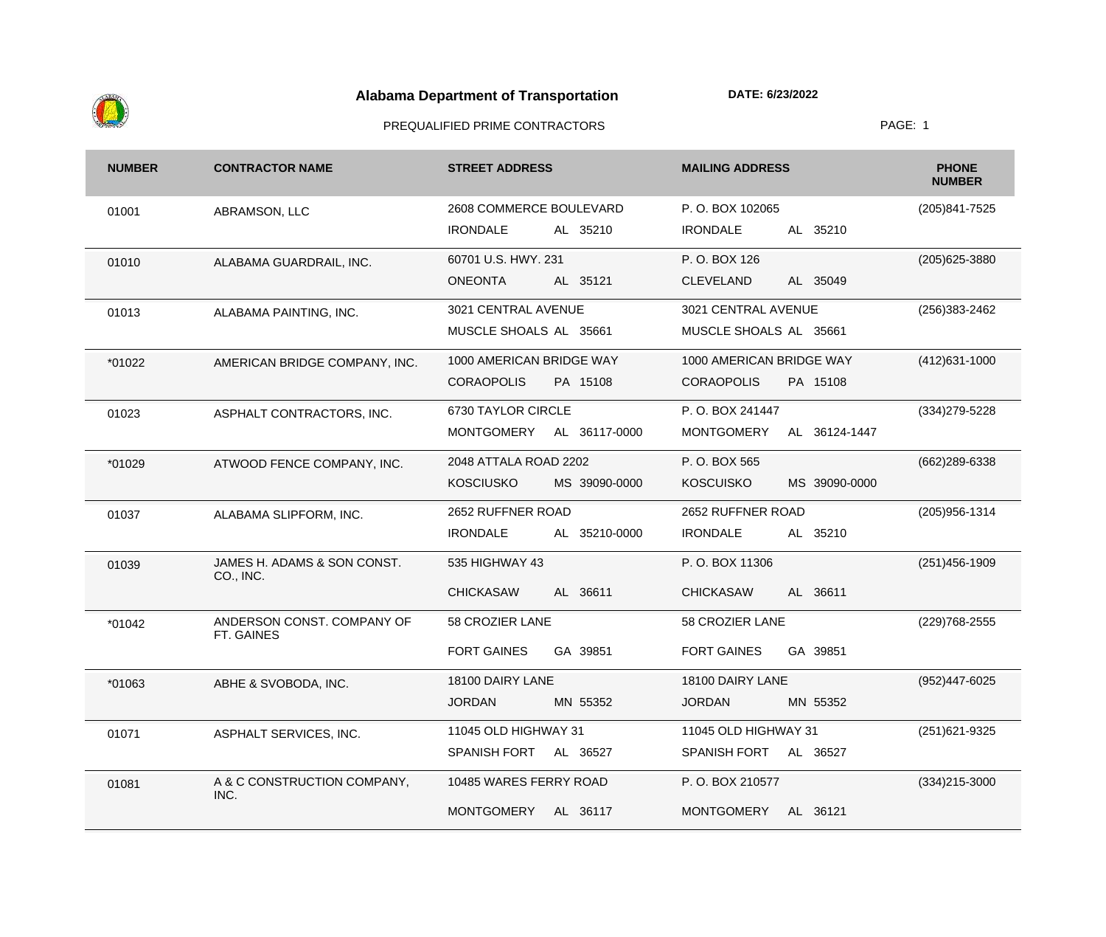

| <b>NUMBER</b> | <b>CONTRACTOR NAME</b>                   | <b>STREET ADDRESS</b>             | <b>MAILING ADDRESS</b>             | <b>PHONE</b><br><b>NUMBER</b> |
|---------------|------------------------------------------|-----------------------------------|------------------------------------|-------------------------------|
| 01001         | ABRAMSON, LLC                            | 2608 COMMERCE BOULEVARD           | P.O. BOX 102065                    | (205) 841-7525                |
|               |                                          | <b>IRONDALE</b><br>AL 35210       | <b>IRONDALE</b><br>AL 35210        |                               |
| 01010         | ALABAMA GUARDRAIL, INC.                  | 60701 U.S. HWY. 231               | P.O. BOX 126                       | (205) 625-3880                |
|               |                                          | <b>ONEONTA</b><br>AL 35121        | AL 35049<br><b>CLEVELAND</b>       |                               |
| 01013         | ALABAMA PAINTING, INC.                   | 3021 CENTRAL AVENUE               | 3021 CENTRAL AVENUE                | (256) 383-2462                |
|               |                                          | MUSCLE SHOALS AL 35661            | MUSCLE SHOALS AL 35661             |                               |
| *01022        | AMERICAN BRIDGE COMPANY, INC.            | 1000 AMERICAN BRIDGE WAY          | 1000 AMERICAN BRIDGE WAY           | $(412)631-1000$               |
|               |                                          | <b>CORAOPOLIS</b><br>PA 15108     | <b>CORAOPOLIS</b><br>PA 15108      |                               |
| 01023         | ASPHALT CONTRACTORS, INC.                | 6730 TAYLOR CIRCLE                | P.O. BOX 241447                    | (334) 279-5228                |
|               |                                          | MONTGOMERY<br>AL 36117-0000       | <b>MONTGOMERY</b><br>AL 36124-1447 |                               |
| *01029        | ATWOOD FENCE COMPANY, INC.               | 2048 ATTALA ROAD 2202             | P.O. BOX 565                       | (662) 289-6338                |
|               |                                          | <b>KOSCIUSKO</b><br>MS 39090-0000 | <b>KOSCUISKO</b><br>MS 39090-0000  |                               |
| 01037         | ALABAMA SLIPFORM, INC.                   | 2652 RUFFNER ROAD                 | 2652 RUFFNER ROAD                  | (205) 956-1314                |
|               |                                          | <b>IRONDALE</b><br>AL 35210-0000  | <b>IRONDALE</b><br>AL 35210        |                               |
| 01039         | JAMES H. ADAMS & SON CONST.<br>CO., INC. | 535 HIGHWAY 43                    | P.O. BOX 11306                     | $(251)456-1909$               |
|               |                                          | <b>CHICKASAW</b><br>AL 36611      | AL 36611<br><b>CHICKASAW</b>       |                               |
| *01042        | ANDERSON CONST. COMPANY OF<br>FT. GAINES | 58 CROZIER LANE                   | 58 CROZIER LANE                    | (229) 768-2555                |
|               |                                          | <b>FORT GAINES</b><br>GA 39851    | <b>FORT GAINES</b><br>GA 39851     |                               |
| *01063        | ABHE & SVOBODA, INC.                     | 18100 DAIRY LANE                  | 18100 DAIRY LANE                   | (952)447-6025                 |
|               |                                          | <b>JORDAN</b><br>MN 55352         | <b>JORDAN</b><br>MN 55352          |                               |
| 01071         | ASPHALT SERVICES, INC.                   | 11045 OLD HIGHWAY 31              | 11045 OLD HIGHWAY 31               | (251) 621-9325                |
|               |                                          | SPANISH FORT<br>AL 36527          | SPANISH FORT<br>AL 36527           |                               |
| 01081         | A & C CONSTRUCTION COMPANY,<br>INC.      | 10485 WARES FERRY ROAD            | P.O. BOX 210577                    | $(334)215 - 3000$             |
|               |                                          | MONTGOMERY AL 36117               | MONTGOMERY<br>AL 36121             |                               |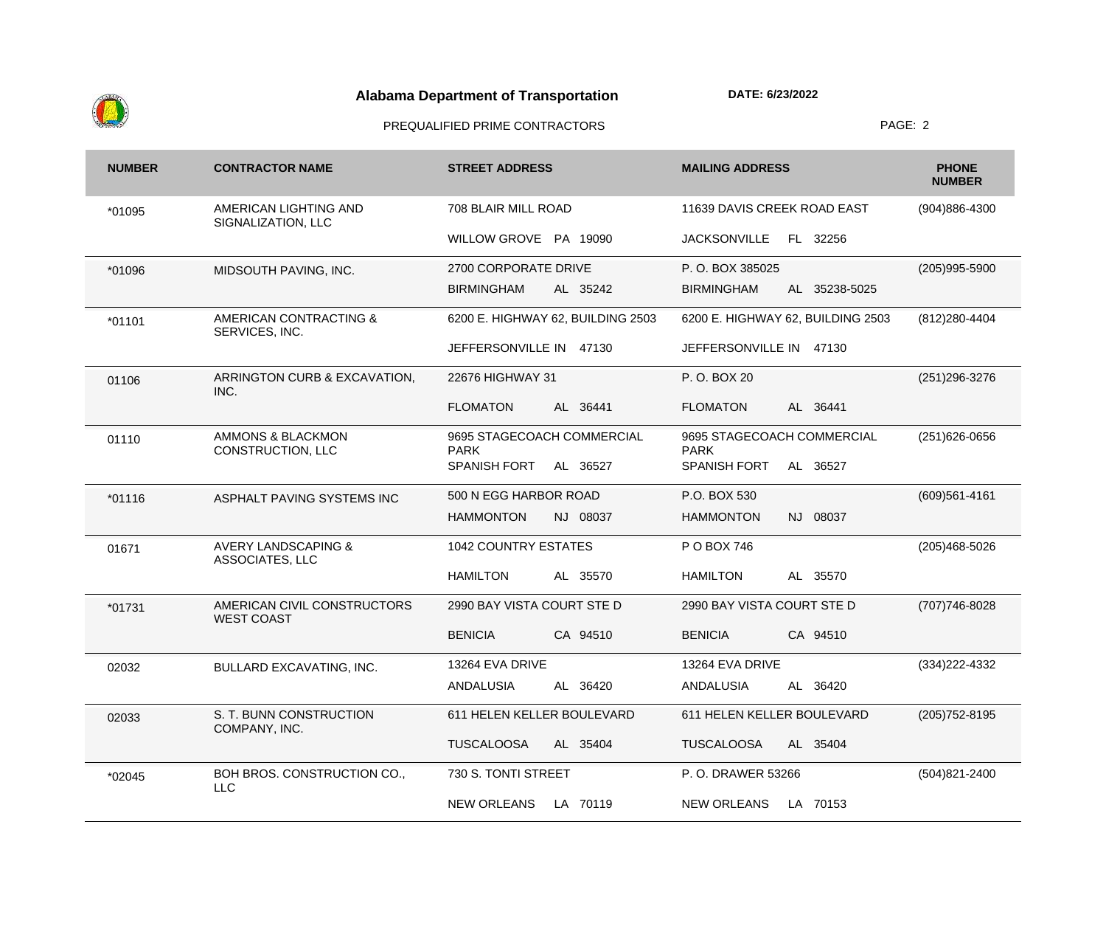

| <b>NUMBER</b> | <b>CONTRACTOR NAME</b>                                   | <b>STREET ADDRESS</b>                     | <b>MAILING ADDRESS</b>                    | <b>PHONE</b><br><b>NUMBER</b> |
|---------------|----------------------------------------------------------|-------------------------------------------|-------------------------------------------|-------------------------------|
| *01095        | AMERICAN LIGHTING AND<br>SIGNALIZATION, LLC              | 708 BLAIR MILL ROAD                       | 11639 DAVIS CREEK ROAD EAST               | (904)886-4300                 |
|               |                                                          | WILLOW GROVE PA 19090                     | <b>JACKSONVILLE</b><br>FL 32256           |                               |
| *01096        | MIDSOUTH PAVING, INC.                                    | 2700 CORPORATE DRIVE                      | P.O. BOX 385025                           | $(205)995 - 5900$             |
|               |                                                          | <b>BIRMINGHAM</b><br>AL 35242             | <b>BIRMINGHAM</b><br>AL 35238-5025        |                               |
| $*01101$      | AMERICAN CONTRACTING &<br>SERVICES, INC.                 | 6200 E. HIGHWAY 62, BUILDING 2503         | 6200 E. HIGHWAY 62, BUILDING 2503         | (812) 280-4404                |
|               |                                                          | JEFFERSONVILLE IN 47130                   | JEFFERSONVILLE IN<br>47130                |                               |
| 01106         | ARRINGTON CURB & EXCAVATION,<br>INC.                     | 22676 HIGHWAY 31                          | P. O. BOX 20                              | (251) 296-3276                |
|               |                                                          | <b>FLOMATON</b><br>AL 36441               | <b>FLOMATON</b><br>AL 36441               |                               |
| 01110         | <b>AMMONS &amp; BLACKMON</b><br><b>CONSTRUCTION, LLC</b> | 9695 STAGECOACH COMMERCIAL<br><b>PARK</b> | 9695 STAGECOACH COMMERCIAL<br><b>PARK</b> | $(251)626 - 0656$             |
|               |                                                          | SPANISH FORT<br>AL 36527                  | <b>SPANISH FORT</b><br>AL 36527           |                               |
| $*01116$      | ASPHALT PAVING SYSTEMS INC                               | 500 N EGG HARBOR ROAD                     | P.O. BOX 530                              | $(609)561 - 4161$             |
|               |                                                          | <b>HAMMONTON</b><br>NJ 08037              | <b>HAMMONTON</b><br>NJ 08037              |                               |
| 01671         | <b>AVERY LANDSCAPING &amp;</b><br>ASSOCIATES, LLC        | <b>1042 COUNTRY ESTATES</b>               | P O BOX 746                               | $(205)468 - 5026$             |
|               |                                                          | <b>HAMILTON</b><br>AL 35570               | <b>HAMILTON</b><br>AL 35570               |                               |
| $*01731$      | AMERICAN CIVIL CONSTRUCTORS<br><b>WEST COAST</b>         | 2990 BAY VISTA COURT STE D                | 2990 BAY VISTA COURT STE D                | (707) 746-8028                |
|               |                                                          | <b>BENICIA</b><br>CA 94510                | <b>BENICIA</b><br>CA 94510                |                               |
| 02032         | <b>BULLARD EXCAVATING, INC.</b>                          | 13264 EVA DRIVE                           | 13264 EVA DRIVE                           | $(334)222 - 4332$             |
|               |                                                          | ANDALUSIA<br>AL 36420                     | ANDALUSIA<br>AL 36420                     |                               |
| 02033         | S. T. BUNN CONSTRUCTION<br>COMPANY, INC.                 | 611 HELEN KELLER BOULEVARD                | 611 HELEN KELLER BOULEVARD                | $(205)752 - 8195$             |
|               |                                                          | <b>TUSCALOOSA</b><br>AL 35404             | <b>TUSCALOOSA</b><br>AL 35404             |                               |
| *02045        | BOH BROS. CONSTRUCTION CO.,<br><b>LLC</b>                | 730 S. TONTI STREET                       | P.O. DRAWER 53266                         | $(504)821 - 2400$             |
|               |                                                          | <b>NEW ORLEANS</b><br>LA 70119            | <b>NEW ORLEANS</b><br>LA 70153            |                               |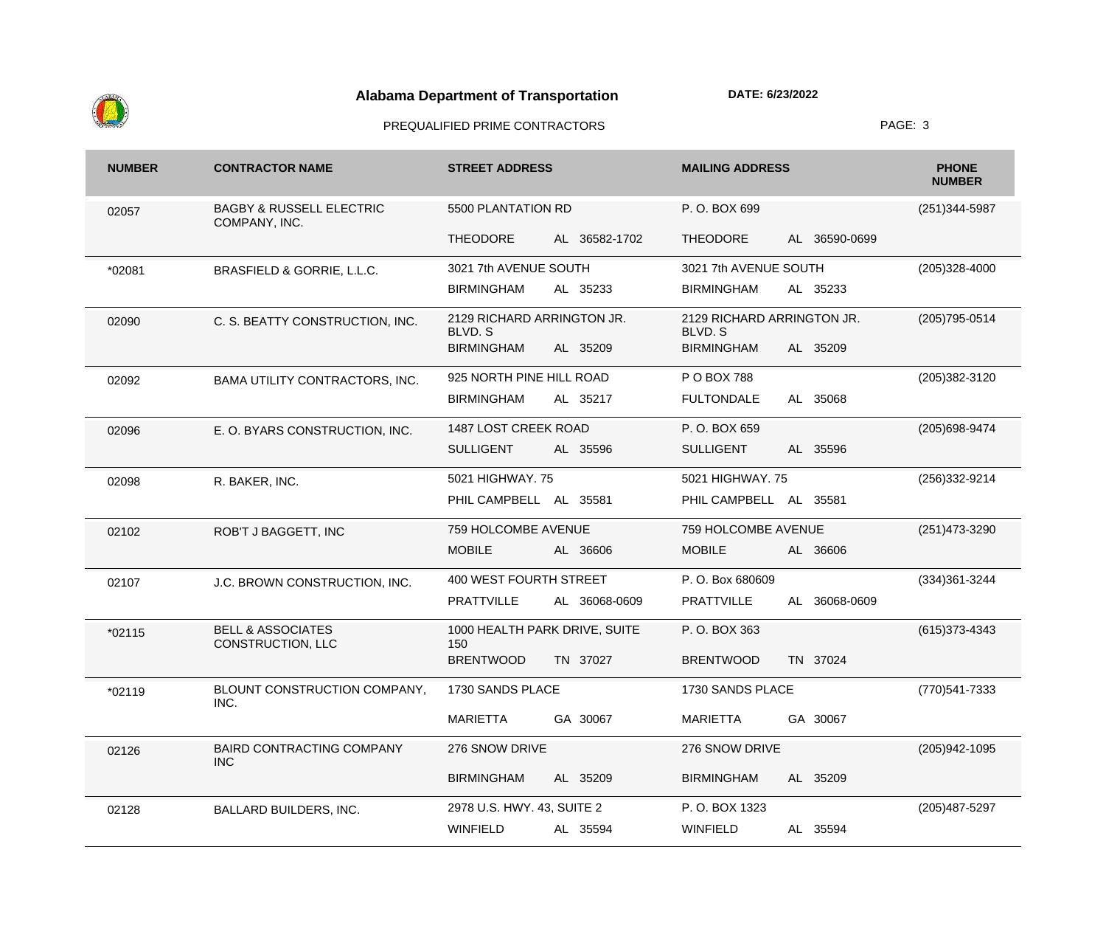

| <b>NUMBER</b> | <b>CONTRACTOR NAME</b>                               | <b>STREET ADDRESS</b>                 | <b>MAILING ADDRESS</b>                | <b>PHONE</b><br><b>NUMBER</b> |
|---------------|------------------------------------------------------|---------------------------------------|---------------------------------------|-------------------------------|
| 02057         | <b>BAGBY &amp; RUSSELL ELECTRIC</b><br>COMPANY, INC. | 5500 PLANTATION RD                    | P.O. BOX 699                          | (251)344-5987                 |
|               |                                                      | <b>THEODORE</b><br>AL 36582-1702      | <b>THEODORE</b><br>AL 36590-0699      |                               |
| *02081        | BRASFIELD & GORRIE, L.L.C.                           | 3021 7th AVENUE SOUTH                 | 3021 7th AVENUE SOUTH                 | $(205)328 - 4000$             |
|               |                                                      | <b>BIRMINGHAM</b><br>AL 35233         | <b>BIRMINGHAM</b><br>AL 35233         |                               |
| 02090         | C. S. BEATTY CONSTRUCTION, INC.                      | 2129 RICHARD ARRINGTON JR.<br>BLVD. S | 2129 RICHARD ARRINGTON JR.<br>BLVD. S | (205) 795-0514                |
|               |                                                      | <b>BIRMINGHAM</b><br>AL 35209         | <b>BIRMINGHAM</b><br>AL 35209         |                               |
| 02092         | BAMA UTILITY CONTRACTORS, INC.                       | 925 NORTH PINE HILL ROAD              | P O BOX 788                           | (205) 382-3120                |
|               |                                                      | <b>BIRMINGHAM</b><br>AL 35217         | <b>FULTONDALE</b><br>AL 35068         |                               |
| 02096         | E. O. BYARS CONSTRUCTION, INC.                       | 1487 LOST CREEK ROAD                  | P.O. BOX 659                          | (205) 698-9474                |
|               |                                                      | <b>SULLIGENT</b><br>AL 35596          | <b>SULLIGENT</b><br>AL 35596          |                               |
| 02098         | R. BAKER, INC.                                       | 5021 HIGHWAY. 75                      | 5021 HIGHWAY. 75                      | (256) 332-9214                |
|               |                                                      | PHIL CAMPBELL AL 35581                | PHIL CAMPBELL AL 35581                |                               |
| 02102         | ROB'T J BAGGETT, INC                                 | 759 HOLCOMBE AVENUE                   | 759 HOLCOMBE AVENUE                   | (251) 473-3290                |
|               |                                                      | <b>MOBILE</b><br>AL 36606             | <b>MOBILE</b><br>AL 36606             |                               |
| 02107         | J.C. BROWN CONSTRUCTION, INC.                        | 400 WEST FOURTH STREET                | P. O. Box 680609                      | $(334)361 - 3244$             |
|               |                                                      | <b>PRATTVILLE</b><br>AL 36068-0609    | <b>PRATTVILLE</b><br>AL 36068-0609    |                               |
| $*02115$      | <b>BELL &amp; ASSOCIATES</b><br>CONSTRUCTION, LLC    | 1000 HEALTH PARK DRIVE, SUITE<br>150  | P.O. BOX 363                          | $(615)373 - 4343$             |
|               |                                                      | <b>BRENTWOOD</b><br>TN 37027          | <b>BRENTWOOD</b><br>TN 37024          |                               |
| *02119        | BLOUNT CONSTRUCTION COMPANY,<br>INC.                 | 1730 SANDS PLACE                      | 1730 SANDS PLACE                      | (770) 541-7333                |
|               |                                                      | <b>MARIETTA</b><br>GA 30067           | <b>MARIETTA</b><br>GA 30067           |                               |
| 02126         | <b>BAIRD CONTRACTING COMPANY</b><br><b>INC</b>       | 276 SNOW DRIVE                        | 276 SNOW DRIVE                        | (205) 942-1095                |
|               |                                                      | <b>BIRMINGHAM</b><br>AL 35209         | <b>BIRMINGHAM</b><br>AL 35209         |                               |
| 02128         | <b>BALLARD BUILDERS, INC.</b>                        | 2978 U.S. HWY. 43, SUITE 2            | P.O. BOX 1323                         | (205) 487-5297                |
|               |                                                      | <b>WINFIELD</b><br>AL 35594           | <b>WINFIELD</b><br>AL 35594           |                               |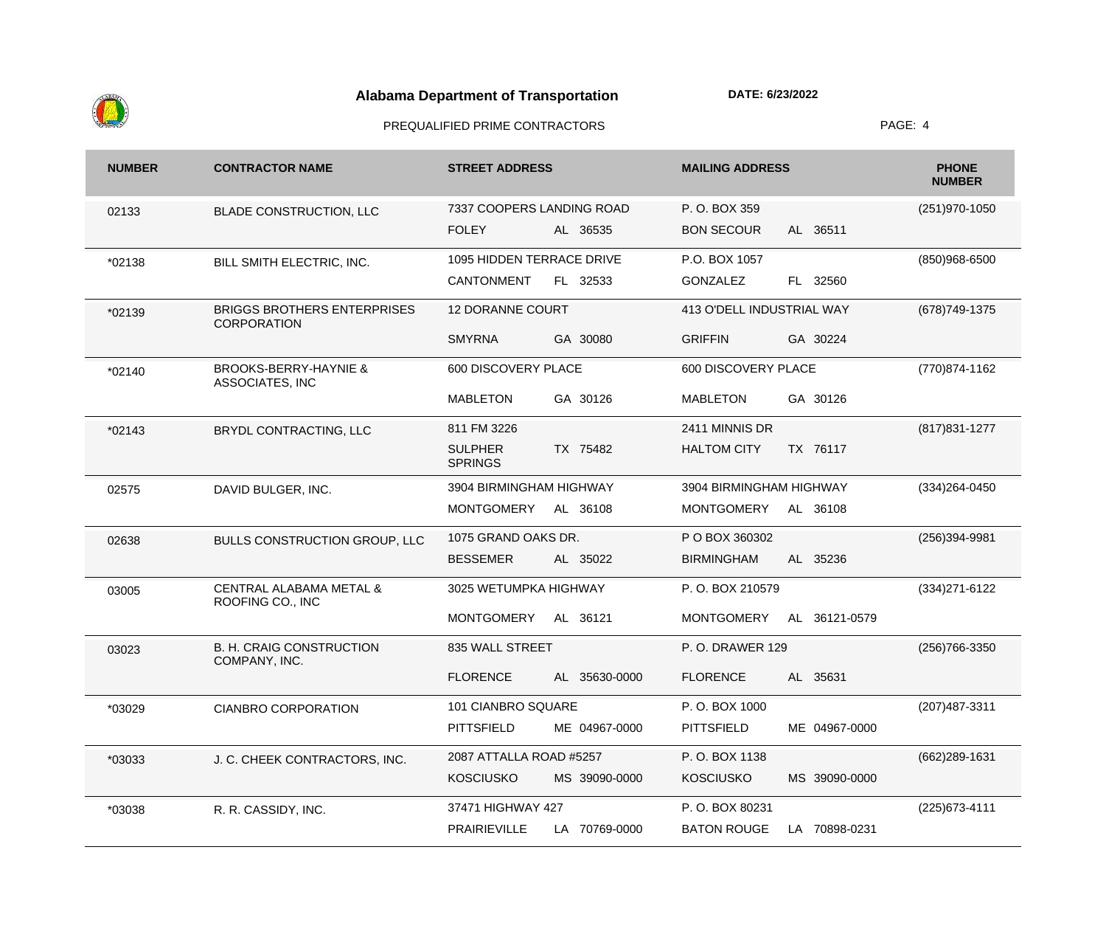

| <b>NUMBER</b> | <b>CONTRACTOR NAME</b>                                   | <b>STREET ADDRESS</b>                        | <b>MAILING ADDRESS</b>              | <b>PHONE</b><br><b>NUMBER</b> |
|---------------|----------------------------------------------------------|----------------------------------------------|-------------------------------------|-------------------------------|
| 02133         | <b>BLADE CONSTRUCTION, LLC</b>                           | 7337 COOPERS LANDING ROAD                    | P.O. BOX 359                        | (251) 970-1050                |
|               |                                                          | <b>FOLEY</b><br>AL 36535                     | AL 36511<br><b>BON SECOUR</b>       |                               |
| *02138        | BILL SMITH ELECTRIC, INC.                                | 1095 HIDDEN TERRACE DRIVE                    | P.O. BOX 1057                       | (850)968-6500                 |
|               |                                                          | <b>CANTONMENT</b><br>FL 32533                | FL 32560<br><b>GONZALEZ</b>         |                               |
| *02139        | <b>BRIGGS BROTHERS ENTERPRISES</b><br><b>CORPORATION</b> | <b>12 DORANNE COURT</b>                      | 413 O'DELL INDUSTRIAL WAY           | (678) 749-1375                |
|               |                                                          | <b>SMYRNA</b><br>GA 30080                    | <b>GRIFFIN</b><br>GA 30224          |                               |
| *02140        | <b>BROOKS-BERRY-HAYNIE &amp;</b><br>ASSOCIATES, INC      | 600 DISCOVERY PLACE                          | 600 DISCOVERY PLACE                 | (770) 874-1162                |
|               |                                                          | <b>MABLETON</b><br>GA 30126                  | GA 30126<br><b>MABLETON</b>         |                               |
| *02143        | BRYDL CONTRACTING, LLC                                   | 811 FM 3226                                  | 2411 MINNIS DR                      | (817) 831-1277                |
|               |                                                          | <b>SULPHER</b><br>TX 75482<br><b>SPRINGS</b> | <b>HALTOM CITY</b><br>TX 76117      |                               |
| 02575         | DAVID BULGER, INC.                                       | 3904 BIRMINGHAM HIGHWAY                      | 3904 BIRMINGHAM HIGHWAY             | (334) 264-0450                |
|               |                                                          | <b>MONTGOMERY</b><br>AL 36108                | <b>MONTGOMERY</b><br>AL 36108       |                               |
| 02638         | BULLS CONSTRUCTION GROUP, LLC                            | 1075 GRAND OAKS DR.                          | P O BOX 360302                      | (256)394-9981                 |
|               |                                                          | <b>BESSEMER</b><br>AL 35022                  | <b>BIRMINGHAM</b><br>AL 35236       |                               |
| 03005         | <b>CENTRAL ALABAMA METAL &amp;</b><br>ROOFING CO., INC   | 3025 WETUMPKA HIGHWAY                        | P.O. BOX 210579                     | (334) 271-6122                |
|               |                                                          | <b>MONTGOMERY</b><br>AL 36121                | <b>MONTGOMERY</b><br>AL 36121-0579  |                               |
| 03023         | <b>B. H. CRAIG CONSTRUCTION</b><br>COMPANY, INC.         | 835 WALL STREET                              | <b>P.O. DRAWER 129</b>              | (256) 766-3350                |
|               |                                                          | <b>FLORENCE</b><br>AL 35630-0000             | <b>FLORENCE</b><br>AL 35631         |                               |
| *03029        | <b>CIANBRO CORPORATION</b>                               | 101 CIANBRO SQUARE                           | P.O. BOX 1000                       | (207) 487-3311                |
|               |                                                          | <b>PITTSFIELD</b><br>ME 04967-0000           | <b>PITTSFIELD</b><br>ME 04967-0000  |                               |
| *03033        | J. C. CHEEK CONTRACTORS, INC.                            | 2087 ATTALLA ROAD #5257                      | P.O. BOX 1138                       | (662) 289-1631                |
|               |                                                          | <b>KOSCIUSKO</b><br>MS 39090-0000            | <b>KOSCIUSKO</b><br>MS 39090-0000   |                               |
| *03038        | R. R. CASSIDY, INC.                                      | 37471 HIGHWAY 427                            | P.O. BOX 80231                      | (225) 673-4111                |
|               |                                                          | PRAIRIEVILLE<br>LA 70769-0000                | <b>BATON ROUGE</b><br>LA 70898-0231 |                               |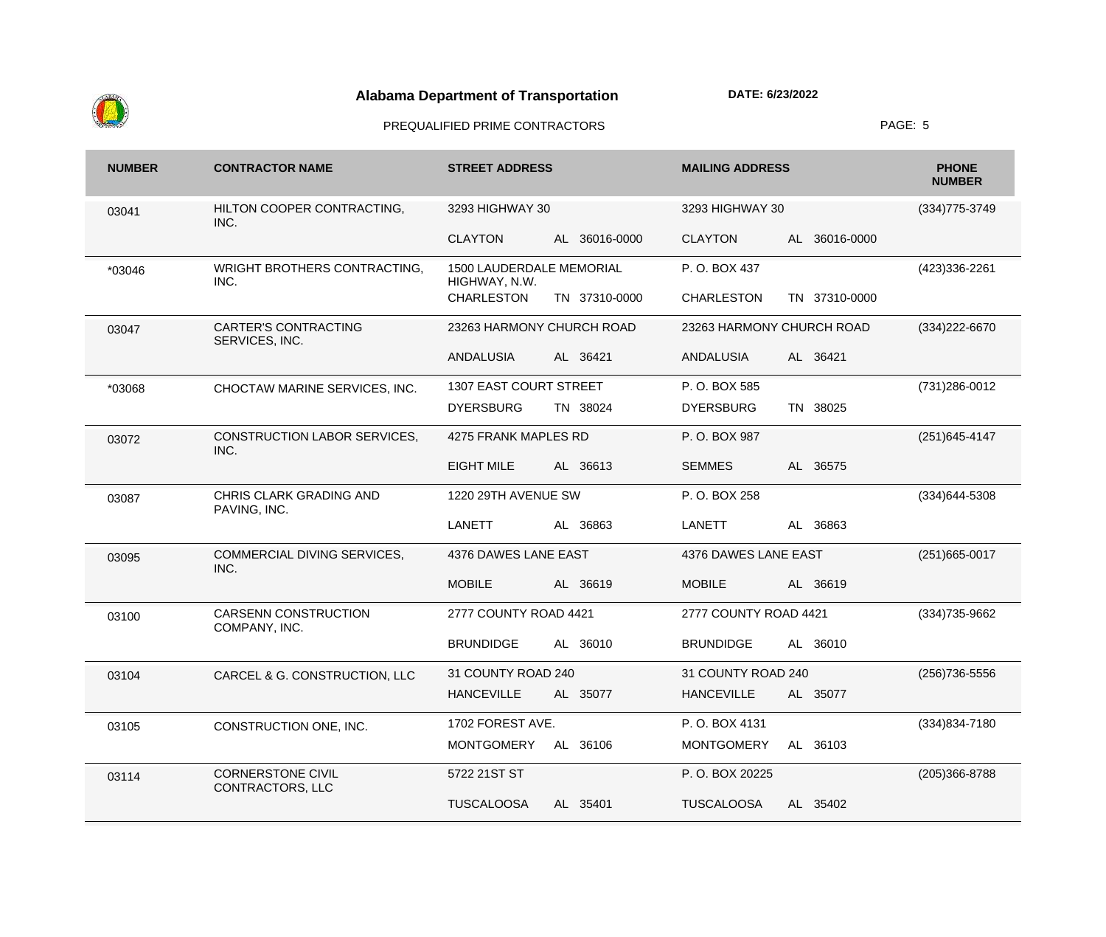

| <b>NUMBER</b> | <b>CONTRACTOR NAME</b>                        | <b>STREET ADDRESS</b>                     | <b>MAILING ADDRESS</b>             | <b>PHONE</b><br><b>NUMBER</b> |
|---------------|-----------------------------------------------|-------------------------------------------|------------------------------------|-------------------------------|
| 03041         | HILTON COOPER CONTRACTING,<br>INC.            | 3293 HIGHWAY 30                           | 3293 HIGHWAY 30                    | $(334)775 - 3749$             |
|               |                                               | <b>CLAYTON</b><br>AL 36016-0000           | <b>CLAYTON</b><br>AL 36016-0000    |                               |
| *03046        | WRIGHT BROTHERS CONTRACTING,<br>INC.          | 1500 LAUDERDALE MEMORIAL<br>HIGHWAY, N.W. | P.O. BOX 437                       | (423)336-2261                 |
|               |                                               | <b>CHARLESTON</b><br>TN 37310-0000        | <b>CHARLESTON</b><br>TN 37310-0000 |                               |
| 03047         | <b>CARTER'S CONTRACTING</b><br>SERVICES, INC. | 23263 HARMONY CHURCH ROAD                 | 23263 HARMONY CHURCH ROAD          | (334) 222-6670                |
|               |                                               | AL 36421<br><b>ANDALUSIA</b>              | <b>ANDALUSIA</b><br>AL 36421       |                               |
| *03068        | CHOCTAW MARINE SERVICES, INC.                 | 1307 EAST COURT STREET                    | P.O. BOX 585                       | (731) 286-0012                |
|               |                                               | <b>DYERSBURG</b><br>TN 38024              | <b>DYERSBURG</b><br>TN 38025       |                               |
| 03072         | CONSTRUCTION LABOR SERVICES,<br>INC.          | 4275 FRANK MAPLES RD                      | P.O. BOX 987                       | $(251)645 - 4147$             |
|               |                                               | <b>EIGHT MILE</b><br>AL 36613             | <b>SEMMES</b><br>AL 36575          |                               |
| 03087         | CHRIS CLARK GRADING AND<br>PAVING, INC.       | 1220 29TH AVENUE SW                       | P.O. BOX 258                       | (334) 644-5308                |
|               |                                               | <b>LANETT</b><br>AL 36863                 | <b>LANETT</b><br>36863<br>AL       |                               |
| 03095         | COMMERCIAL DIVING SERVICES,<br>INC.           | 4376 DAWES LANE EAST                      | 4376 DAWES LANE EAST               | $(251)665 - 0017$             |
|               |                                               | <b>MOBILE</b><br>AL 36619                 | <b>MOBILE</b><br>AL 36619          |                               |
| 03100         | <b>CARSENN CONSTRUCTION</b><br>COMPANY, INC.  | 2777 COUNTY ROAD 4421                     | 2777 COUNTY ROAD 4421              | (334) 735-9662                |
|               |                                               | <b>BRUNDIDGE</b><br>AL 36010              | <b>BRUNDIDGE</b><br>AL 36010       |                               |
| 03104         | CARCEL & G. CONSTRUCTION, LLC                 | 31 COUNTY ROAD 240                        | 31 COUNTY ROAD 240                 | (256) 736-5556                |
|               |                                               | AL 35077<br><b>HANCEVILLE</b>             | <b>HANCEVILLE</b><br>AL 35077      |                               |
| 03105         | CONSTRUCTION ONE, INC.                        | 1702 FOREST AVE.                          | P.O. BOX 4131                      | $(334)834 - 7180$             |
|               |                                               | <b>MONTGOMERY</b><br>AL 36106             | <b>MONTGOMERY</b><br>AL 36103      |                               |
| 03114         | <b>CORNERSTONE CIVIL</b><br>CONTRACTORS, LLC  | 5722 21ST ST                              | P.O. BOX 20225                     | (205)366-8788                 |
|               |                                               | <b>TUSCALOOSA</b><br>AL 35401             | <b>TUSCALOOSA</b><br>AL 35402      |                               |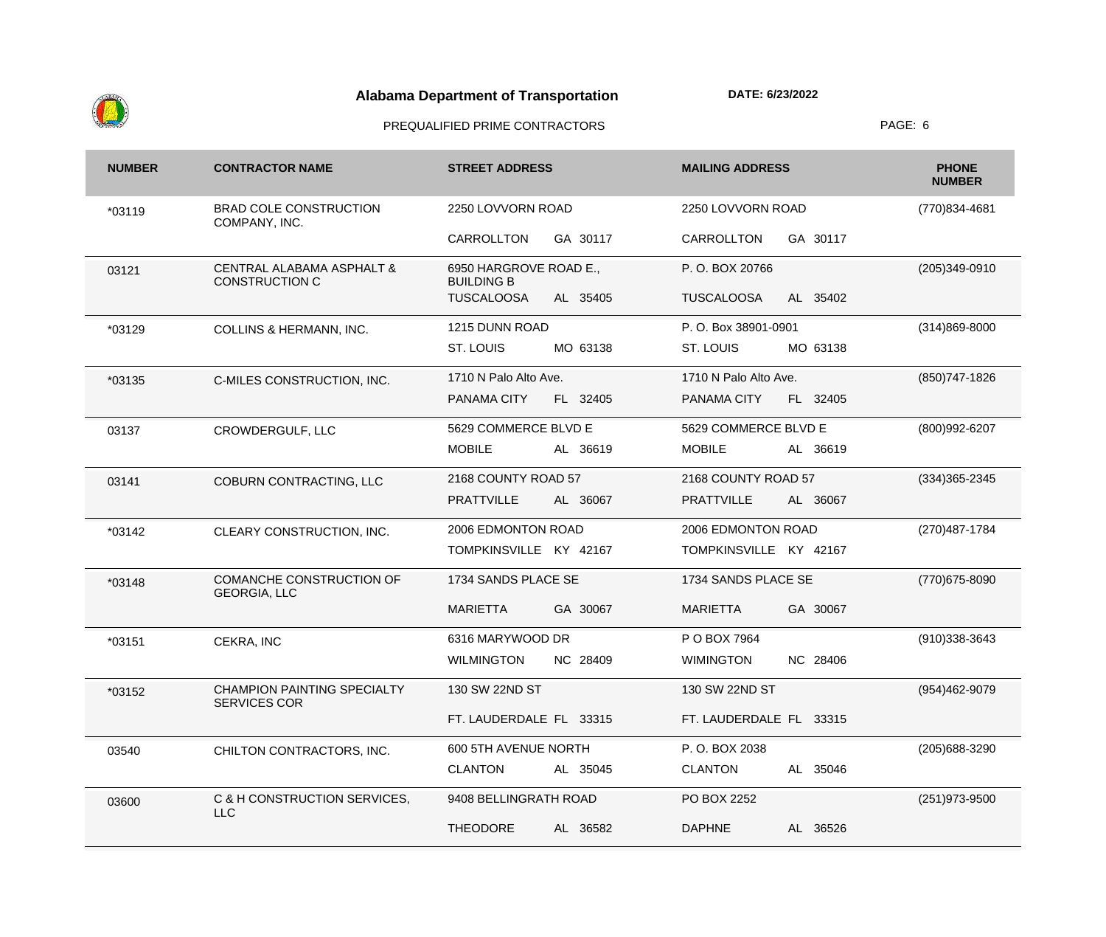

| <b>NUMBER</b> | <b>CONTRACTOR NAME</b>                                        | <b>STREET ADDRESS</b>                       | <b>MAILING ADDRESS</b>        | <b>PHONE</b><br><b>NUMBER</b> |
|---------------|---------------------------------------------------------------|---------------------------------------------|-------------------------------|-------------------------------|
| *03119        | <b>BRAD COLE CONSTRUCTION</b><br>COMPANY, INC.                | 2250 LOVVORN ROAD                           | 2250 LOVVORN ROAD             | (770)834-4681                 |
|               |                                                               | CARROLLTON<br>GA 30117                      | GA 30117<br>CARROLLTON        |                               |
| 03121         | <b>CENTRAL ALABAMA ASPHALT &amp;</b><br><b>CONSTRUCTION C</b> | 6950 HARGROVE ROAD E.,<br><b>BUILDING B</b> | P.O. BOX 20766                | $(205)349-0910$               |
|               |                                                               | <b>TUSCALOOSA</b><br>AL 35405               | <b>TUSCALOOSA</b><br>AL 35402 |                               |
| *03129        | <b>COLLINS &amp; HERMANN, INC.</b>                            | 1215 DUNN ROAD                              | P.O. Box 38901-0901           | $(314)869 - 8000$             |
|               |                                                               | ST. LOUIS<br>MO 63138                       | ST. LOUIS<br>MO 63138         |                               |
| *03135        | C-MILES CONSTRUCTION, INC.                                    | 1710 N Palo Alto Ave.                       | 1710 N Palo Alto Ave.         | (850) 747-1826                |
|               |                                                               | PANAMA CITY<br>FL 32405                     | PANAMA CITY<br>FL 32405       |                               |
| 03137         | CROWDERGULF, LLC                                              | 5629 COMMERCE BLVD E                        | 5629 COMMERCE BLVD E          | (800)992-6207                 |
|               |                                                               | <b>MOBILE</b><br>AL 36619                   | <b>MOBILE</b><br>AL 36619     |                               |
| 03141         | COBURN CONTRACTING, LLC                                       | 2168 COUNTY ROAD 57                         | 2168 COUNTY ROAD 57           | $(334)365 - 2345$             |
|               |                                                               | <b>PRATTVILLE</b><br>AL 36067               | <b>PRATTVILLE</b><br>AL 36067 |                               |
| *03142        | CLEARY CONSTRUCTION, INC.                                     | 2006 EDMONTON ROAD                          | 2006 EDMONTON ROAD            | (270) 487-1784                |
|               |                                                               | TOMPKINSVILLE KY 42167                      | TOMPKINSVILLE KY 42167        |                               |
| *03148        | <b>COMANCHE CONSTRUCTION OF</b><br><b>GEORGIA, LLC</b>        | 1734 SANDS PLACE SE                         | 1734 SANDS PLACE SE           | (770) 675-8090                |
|               |                                                               | <b>MARIETTA</b><br>GA 30067                 | <b>MARIETTA</b><br>GA 30067   |                               |
| $*03151$      | CEKRA, INC                                                    | 6316 MARYWOOD DR                            | P O BOX 7964                  | $(910)338-3643$               |
|               |                                                               | <b>WILMINGTON</b><br>NC 28409               | <b>WIMINGTON</b><br>NC 28406  |                               |
| *03152        | <b>CHAMPION PAINTING SPECIALTY</b><br><b>SERVICES COR</b>     | 130 SW 22ND ST                              | 130 SW 22ND ST                | (954)462-9079                 |
|               |                                                               | FT. LAUDERDALE FL 33315                     | FT. LAUDERDALE FL 33315       |                               |
| 03540         | CHILTON CONTRACTORS, INC.                                     | 600 5TH AVENUE NORTH                        | P.O. BOX 2038                 | (205) 688-3290                |
|               |                                                               | <b>CLANTON</b><br>AL 35045                  | AL 35046<br><b>CLANTON</b>    |                               |
| 03600         | C & H CONSTRUCTION SERVICES,<br><b>LLC</b>                    | 9408 BELLINGRATH ROAD                       | PO BOX 2252                   | (251) 973-9500                |
|               |                                                               | <b>THEODORE</b><br>AL 36582                 | <b>DAPHNE</b><br>AL 36526     |                               |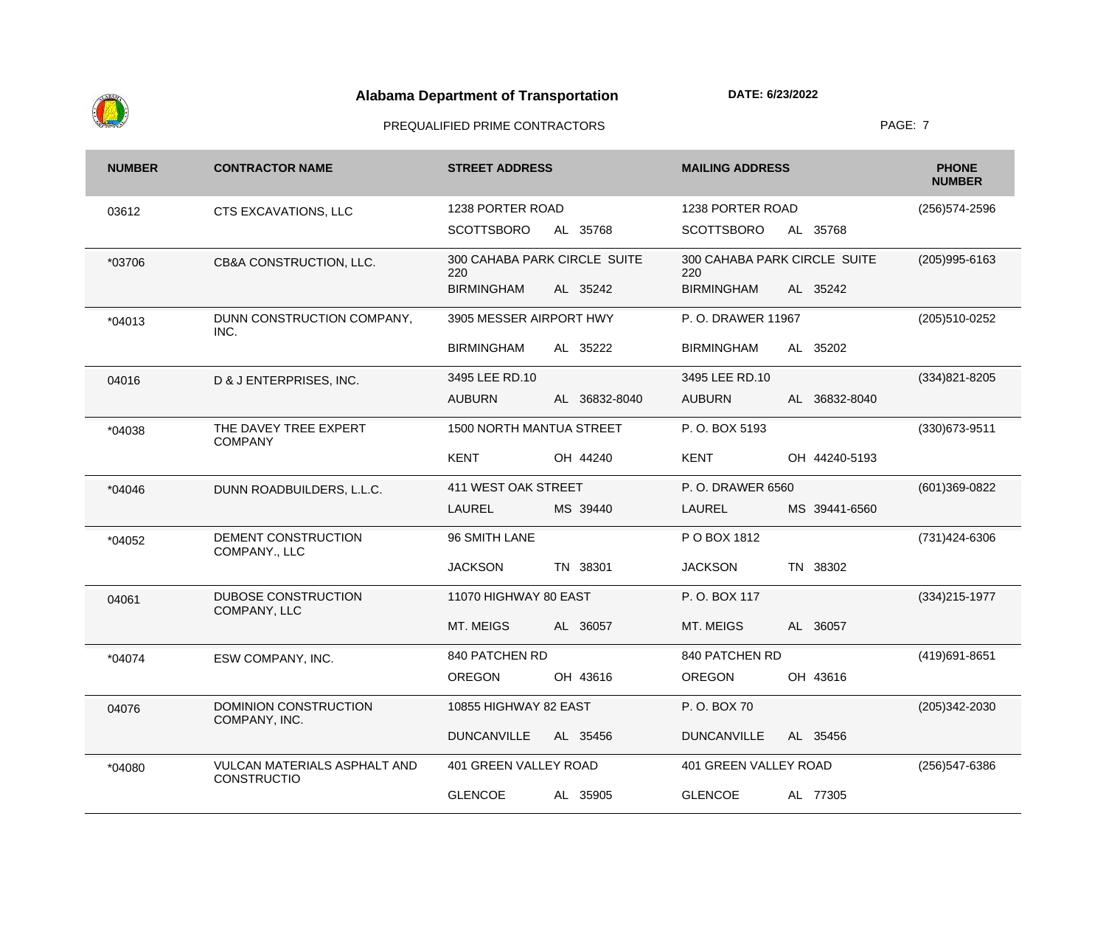

| <b>NUMBER</b> | <b>CONTRACTOR NAME</b>                                    | <b>STREET ADDRESS</b>               | <b>MAILING ADDRESS</b>              | <b>PHONE</b><br><b>NUMBER</b> |
|---------------|-----------------------------------------------------------|-------------------------------------|-------------------------------------|-------------------------------|
| 03612         | CTS EXCAVATIONS, LLC                                      | 1238 PORTER ROAD                    | 1238 PORTER ROAD                    | (256) 574-2596                |
|               |                                                           | <b>SCOTTSBORO</b><br>AL 35768       | <b>SCOTTSBORO</b><br>AL 35768       |                               |
| *03706        | CB&A CONSTRUCTION, LLC.                                   | 300 CAHABA PARK CIRCLE SUITE<br>220 | 300 CAHABA PARK CIRCLE SUITE<br>220 | $(205)995 - 6163$             |
|               |                                                           | <b>BIRMINGHAM</b><br>AL 35242       | <b>BIRMINGHAM</b><br>AL 35242       |                               |
| *04013        | DUNN CONSTRUCTION COMPANY,<br>INC.                        | 3905 MESSER AIRPORT HWY             | P.O. DRAWER 11967                   | (205)510-0252                 |
|               |                                                           | <b>BIRMINGHAM</b><br>AL 35222       | AL 35202<br><b>BIRMINGHAM</b>       |                               |
| 04016         | D & J ENTERPRISES, INC.                                   | 3495 LEE RD.10                      | 3495 LEE RD.10                      | $(334)821 - 8205$             |
|               |                                                           | <b>AUBURN</b><br>AL 36832-8040      | <b>AUBURN</b><br>AL 36832-8040      |                               |
| *04038        | THE DAVEY TREE EXPERT<br><b>COMPANY</b>                   | 1500 NORTH MANTUA STREET            | P.O. BOX 5193                       | (330) 673-9511                |
|               |                                                           | <b>KENT</b><br>OH 44240             | <b>KENT</b><br>OH 44240-5193        |                               |
| *04046        | DUNN ROADBUILDERS, L.L.C.                                 | 411 WEST OAK STREET                 | P.O. DRAWER 6560                    | (601)369-0822                 |
|               |                                                           | <b>LAUREL</b><br>MS 39440           | <b>LAUREL</b><br>MS 39441-6560      |                               |
| *04052        | DEMENT CONSTRUCTION<br>COMPANY., LLC                      | 96 SMITH LANE                       | P O BOX 1812                        | (731) 424-6306                |
|               |                                                           | <b>JACKSON</b><br>TN 38301          | <b>JACKSON</b><br>TN 38302          |                               |
| 04061         | <b>DUBOSE CONSTRUCTION</b><br>COMPANY, LLC                | 11070 HIGHWAY 80 EAST               | P.O. BOX 117                        | $(334)215-1977$               |
|               |                                                           | MT. MEIGS<br>AL 36057               | MT. MEIGS<br>AL 36057               |                               |
| *04074        | ESW COMPANY, INC.                                         | 840 PATCHEN RD                      | 840 PATCHEN RD                      | (419) 691-8651                |
|               |                                                           | <b>OREGON</b><br>OH 43616           | <b>OREGON</b><br>OH 43616           |                               |
| 04076         | DOMINION CONSTRUCTION<br>COMPANY, INC.                    | 10855 HIGHWAY 82 EAST               | P.O. BOX 70                         | $(205)342 - 2030$             |
|               |                                                           | <b>DUNCANVILLE</b><br>AL 35456      | <b>DUNCANVILLE</b><br>AL 35456      |                               |
| *04080        | <b>VULCAN MATERIALS ASPHALT AND</b><br><b>CONSTRUCTIO</b> | 401 GREEN VALLEY ROAD               | 401 GREEN VALLEY ROAD               | (256) 547-6386                |
|               |                                                           | <b>GLENCOE</b><br>AL 35905          | AL 77305<br><b>GLENCOE</b>          |                               |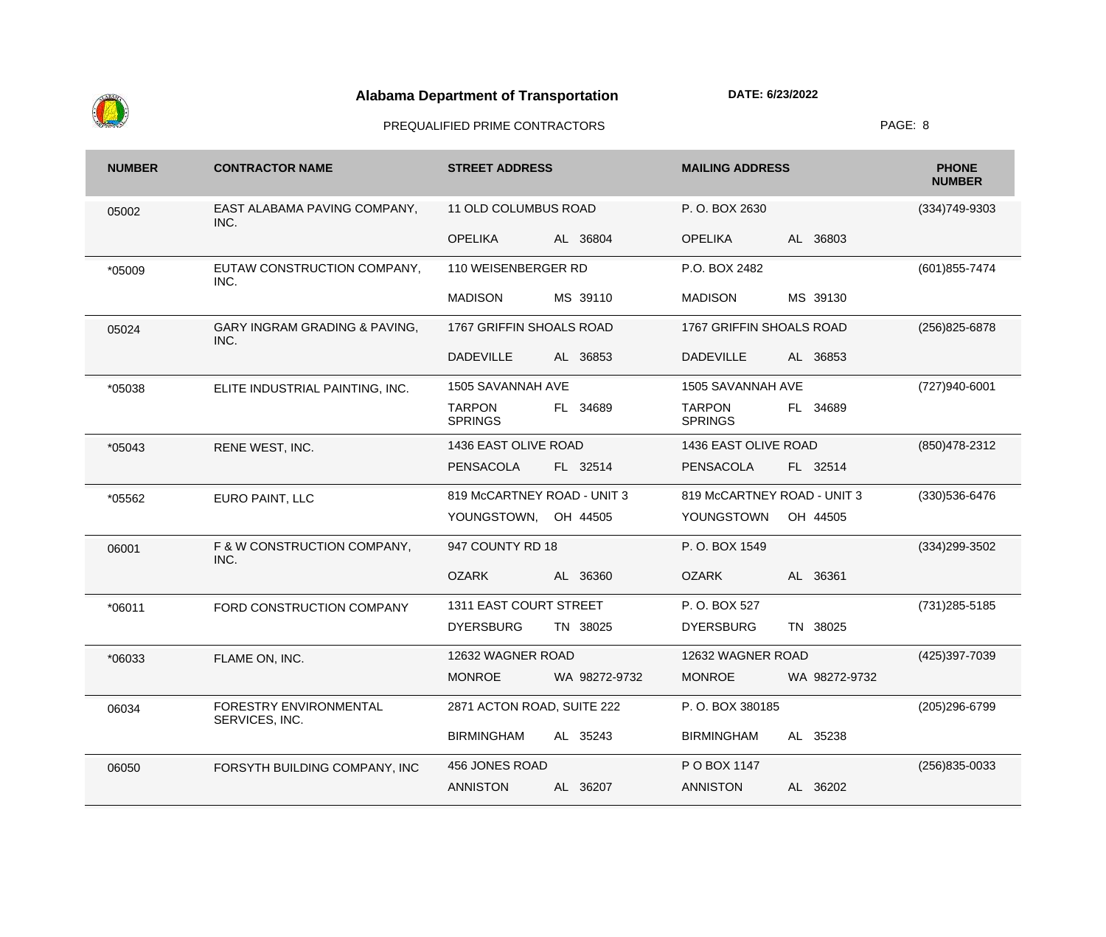

| <b>NUMBER</b> | <b>CONTRACTOR NAME</b>                           | <b>STREET ADDRESS</b>           |               | <b>MAILING ADDRESS</b>          |               | <b>PHONE</b><br><b>NUMBER</b> |
|---------------|--------------------------------------------------|---------------------------------|---------------|---------------------------------|---------------|-------------------------------|
| 05002         | EAST ALABAMA PAVING COMPANY,<br>INC.             | 11 OLD COLUMBUS ROAD            |               | P.O. BOX 2630                   |               | (334) 749-9303                |
|               |                                                  | <b>OPELIKA</b>                  | AL 36804      | <b>OPELIKA</b>                  | AL 36803      |                               |
| *05009        | EUTAW CONSTRUCTION COMPANY,<br>INC.              | 110 WEISENBERGER RD             |               | P.O. BOX 2482                   |               | (601) 855-7474                |
|               |                                                  | <b>MADISON</b>                  | MS 39110      | <b>MADISON</b>                  | MS 39130      |                               |
| 05024         | <b>GARY INGRAM GRADING &amp; PAVING,</b><br>INC. | 1767 GRIFFIN SHOALS ROAD        |               | 1767 GRIFFIN SHOALS ROAD        |               | (256) 825-6878                |
|               |                                                  | <b>DADEVILLE</b>                | AL 36853      | <b>DADEVILLE</b>                | AL 36853      |                               |
| *05038        | ELITE INDUSTRIAL PAINTING, INC.                  | 1505 SAVANNAH AVE               |               | 1505 SAVANNAH AVE               |               | (727)940-6001                 |
|               |                                                  | <b>TARPON</b><br><b>SPRINGS</b> | FL 34689      | <b>TARPON</b><br><b>SPRINGS</b> | FL 34689      |                               |
| *05043        | RENE WEST, INC.                                  | 1436 EAST OLIVE ROAD            |               | 1436 EAST OLIVE ROAD            |               | (850) 478-2312                |
|               |                                                  | PENSACOLA                       | FL 32514      | <b>PENSACOLA</b>                | FL 32514      |                               |
| *05562        | EURO PAINT, LLC                                  | 819 McCARTNEY ROAD - UNIT 3     |               | 819 McCARTNEY ROAD - UNIT 3     |               | (330) 536-6476                |
|               |                                                  | YOUNGSTOWN, OH 44505            |               | YOUNGSTOWN                      | OH 44505      |                               |
| 06001         | F & W CONSTRUCTION COMPANY,<br>INC.              | 947 COUNTY RD 18                |               | P.O. BOX 1549                   |               | (334) 299-3502                |
|               |                                                  | <b>OZARK</b>                    | AL 36360      | <b>OZARK</b>                    | AL 36361      |                               |
| *06011        | FORD CONSTRUCTION COMPANY                        | 1311 EAST COURT STREET          |               | P.O. BOX 527                    |               | (731) 285-5185                |
|               |                                                  | <b>DYERSBURG</b>                | TN 38025      | <b>DYERSBURG</b>                | TN 38025      |                               |
| *06033        | FLAME ON, INC.                                   | 12632 WAGNER ROAD               |               | 12632 WAGNER ROAD               |               | (425)397-7039                 |
|               |                                                  | <b>MONROE</b>                   | WA 98272-9732 | <b>MONROE</b>                   | WA 98272-9732 |                               |
| 06034         | FORESTRY ENVIRONMENTAL<br>SERVICES, INC.         | 2871 ACTON ROAD, SUITE 222      |               | P.O. BOX 380185                 |               | (205) 296-6799                |
|               |                                                  | <b>BIRMINGHAM</b>               | AL 35243      | <b>BIRMINGHAM</b>               | AL 35238      |                               |
| 06050         | FORSYTH BUILDING COMPANY, INC                    | 456 JONES ROAD                  |               | P O BOX 1147                    |               | (256)835-0033                 |
|               |                                                  | <b>ANNISTON</b>                 | AL 36207      | <b>ANNISTON</b>                 | AL 36202      |                               |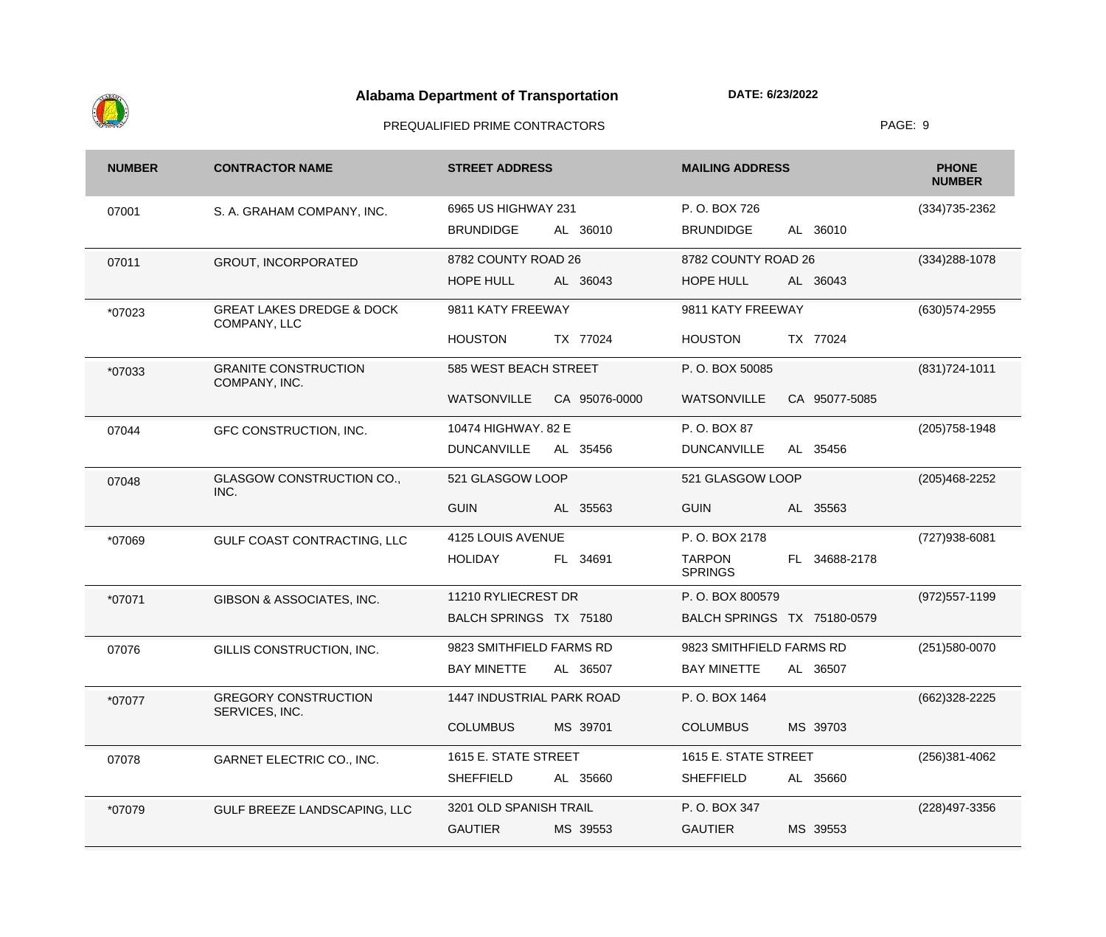

| <b>NUMBER</b> | <b>CONTRACTOR NAME</b>                               | <b>STREET ADDRESS</b>               | <b>MAILING ADDRESS</b>                               | <b>PHONE</b><br><b>NUMBER</b> |
|---------------|------------------------------------------------------|-------------------------------------|------------------------------------------------------|-------------------------------|
| 07001         | S. A. GRAHAM COMPANY, INC.                           | 6965 US HIGHWAY 231                 | P.O. BOX 726                                         | $(334)735 - 2362$             |
|               |                                                      | <b>BRUNDIDGE</b><br>AL 36010        | <b>BRUNDIDGE</b><br>AL 36010                         |                               |
| 07011         | <b>GROUT, INCORPORATED</b>                           | 8782 COUNTY ROAD 26                 | 8782 COUNTY ROAD 26                                  | $(334)288-1078$               |
|               |                                                      | <b>HOPE HULL</b><br>AL 36043        | HOPE HULL<br>AL 36043                                |                               |
| *07023        | <b>GREAT LAKES DREDGE &amp; DOCK</b><br>COMPANY, LLC | 9811 KATY FREEWAY                   | 9811 KATY FREEWAY                                    | (630) 574-2955                |
|               |                                                      | <b>HOUSTON</b><br>TX 77024          | <b>HOUSTON</b><br>TX 77024                           |                               |
| *07033        | <b>GRANITE CONSTRUCTION</b><br>COMPANY, INC.         | 585 WEST BEACH STREET               | P.O. BOX 50085                                       | $(831)724 - 1011$             |
|               |                                                      | <b>WATSONVILLE</b><br>CA 95076-0000 | <b>WATSONVILLE</b><br>CA 95077-5085                  |                               |
| 07044         | GFC CONSTRUCTION, INC.                               | 10474 HIGHWAY. 82 E                 | P.O. BOX 87                                          | (205) 758-1948                |
|               |                                                      | <b>DUNCANVILLE</b><br>AL 35456      | <b>DUNCANVILLE</b><br>AL 35456                       |                               |
| 07048         | <b>GLASGOW CONSTRUCTION CO.,</b><br>INC.             | 521 GLASGOW LOOP                    | 521 GLASGOW LOOP                                     | $(205)468 - 2252$             |
|               |                                                      | <b>GUIN</b><br>AL 35563             | <b>GUIN</b><br>AL 35563                              |                               |
| *07069        | GULF COAST CONTRACTING, LLC                          | 4125 LOUIS AVENUE                   | P.O. BOX 2178                                        | (727) 938-6081                |
|               |                                                      | <b>HOLIDAY</b><br>FL 34691          | <b>TARPON</b><br>34688-2178<br>FL.<br><b>SPRINGS</b> |                               |
| *07071        | GIBSON & ASSOCIATES, INC.                            | 11210 RYLIECREST DR                 | P.O. BOX 800579                                      | $(972)557-1199$               |
|               |                                                      | BALCH SPRINGS TX 75180              | BALCH SPRINGS TX 75180-0579                          |                               |
| 07076         | GILLIS CONSTRUCTION, INC.                            | 9823 SMITHFIELD FARMS RD            | 9823 SMITHFIELD FARMS RD                             | (251) 580-0070                |
|               |                                                      | <b>BAY MINETTE</b><br>AL 36507      | <b>BAY MINETTE</b><br>AL 36507                       |                               |
| *07077        | <b>GREGORY CONSTRUCTION</b><br>SERVICES, INC.        | <b>1447 INDUSTRIAL PARK ROAD</b>    | P.O. BOX 1464                                        | (662) 328-2225                |
|               |                                                      | <b>COLUMBUS</b><br>MS 39701         | MS 39703<br><b>COLUMBUS</b>                          |                               |
| 07078         | GARNET ELECTRIC CO., INC.                            | 1615 E. STATE STREET                | 1615 E. STATE STREET                                 | $(256)381 - 4062$             |
|               |                                                      | <b>SHEFFIELD</b><br>AL 35660        | <b>SHEFFIELD</b><br>35660<br>AL                      |                               |
| *07079        | GULF BREEZE LANDSCAPING, LLC                         | 3201 OLD SPANISH TRAIL              | P.O. BOX 347                                         | (228) 497-3356                |
|               |                                                      | <b>GAUTIER</b><br>MS 39553          | <b>GAUTIER</b><br>MS 39553                           |                               |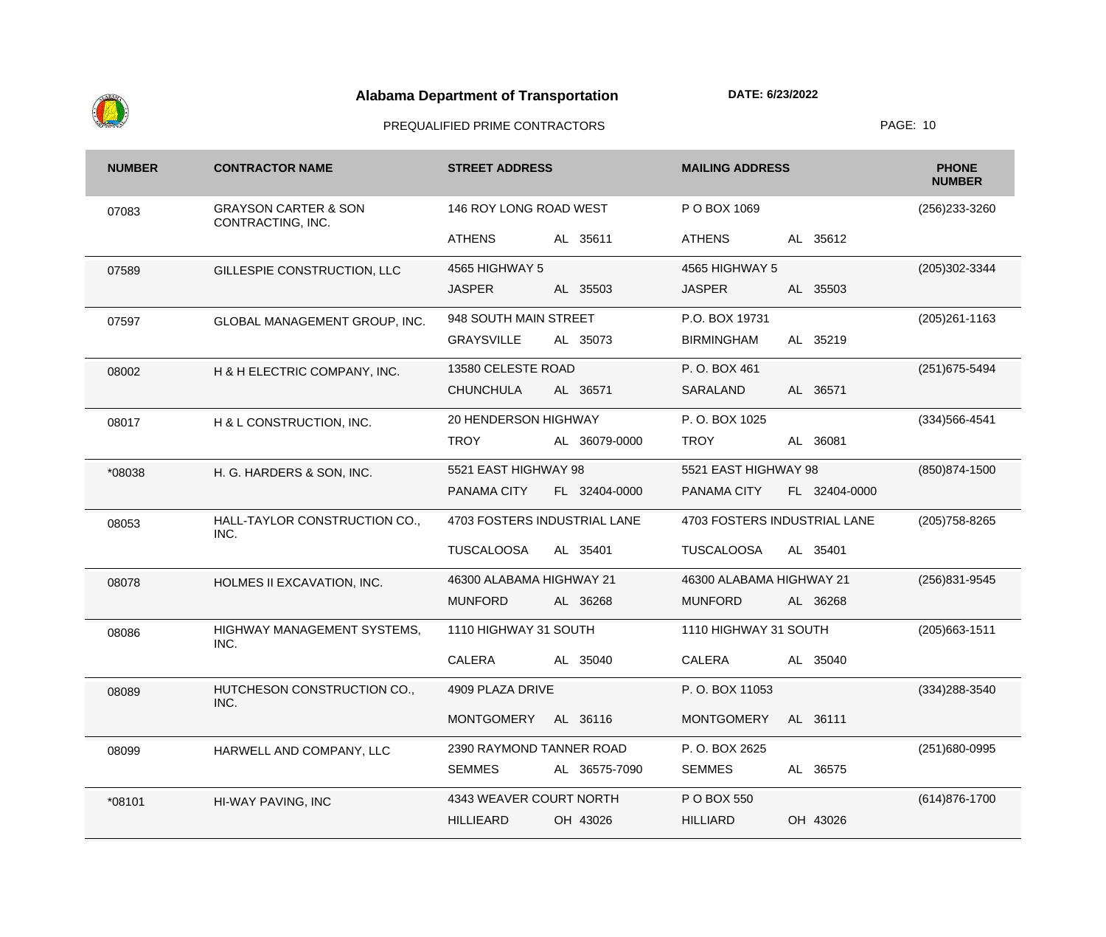

| <b>NUMBER</b> | <b>CONTRACTOR NAME</b>                               | <b>STREET ADDRESS</b>          | <b>MAILING ADDRESS</b>        | <b>PHONE</b><br><b>NUMBER</b> |
|---------------|------------------------------------------------------|--------------------------------|-------------------------------|-------------------------------|
| 07083         | <b>GRAYSON CARTER &amp; SON</b><br>CONTRACTING, INC. | 146 ROY LONG ROAD WEST         | P O BOX 1069                  | (256) 233-3260                |
|               |                                                      | AL 35611<br><b>ATHENS</b>      | AL 35612<br><b>ATHENS</b>     |                               |
| 07589         | GILLESPIE CONSTRUCTION, LLC                          | 4565 HIGHWAY 5                 | 4565 HIGHWAY 5                | (205)302-3344                 |
|               |                                                      | <b>JASPER</b><br>AL 35503      | <b>JASPER</b><br>AL 35503     |                               |
| 07597         | GLOBAL MANAGEMENT GROUP, INC.                        | 948 SOUTH MAIN STREET          | P.O. BOX 19731                | $(205)261 - 1163$             |
|               |                                                      | <b>GRAYSVILLE</b><br>AL 35073  | <b>BIRMINGHAM</b><br>AL 35219 |                               |
| 08002         | H & H ELECTRIC COMPANY, INC.                         | 13580 CELESTE ROAD             | P.O. BOX 461                  | (251) 675-5494                |
|               |                                                      | <b>CHUNCHULA</b><br>AL 36571   | SARALAND<br>AL 36571          |                               |
| 08017         | H & L CONSTRUCTION, INC.                             | 20 HENDERSON HIGHWAY           | P.O. BOX 1025                 | $(334)566 - 4541$             |
|               |                                                      | <b>TROY</b><br>AL 36079-0000   | <b>TROY</b><br>AL 36081       |                               |
| *08038        | H. G. HARDERS & SON, INC.                            | 5521 EAST HIGHWAY 98           | 5521 EAST HIGHWAY 98          | (850) 874-1500                |
|               |                                                      | PANAMA CITY<br>FL 32404-0000   | PANAMA CITY<br>FL 32404-0000  |                               |
| 08053         | HALL-TAYLOR CONSTRUCTION CO.,<br>INC.                | 4703 FOSTERS INDUSTRIAL LANE   | 4703 FOSTERS INDUSTRIAL LANE  | (205) 758-8265                |
|               |                                                      | <b>TUSCALOOSA</b><br>AL 35401  | <b>TUSCALOOSA</b><br>AL 35401 |                               |
| 08078         | HOLMES II EXCAVATION, INC.                           | 46300 ALABAMA HIGHWAY 21       | 46300 ALABAMA HIGHWAY 21      | (256)831-9545                 |
|               |                                                      | <b>MUNFORD</b><br>AL 36268     | AL 36268<br><b>MUNFORD</b>    |                               |
| 08086         | HIGHWAY MANAGEMENT SYSTEMS,<br>INC.                  | 1110 HIGHWAY 31 SOUTH          | 1110 HIGHWAY 31 SOUTH         | $(205)663 - 1511$             |
|               |                                                      | <b>CALERA</b><br>AL 35040      | CALERA<br>AL 35040            |                               |
| 08089         | HUTCHESON CONSTRUCTION CO.,<br>INC.                  | 4909 PLAZA DRIVE               | P.O. BOX 11053                | (334) 288-3540                |
|               |                                                      | <b>MONTGOMERY</b><br>AL 36116  | <b>MONTGOMERY</b><br>AL 36111 |                               |
| 08099         | HARWELL AND COMPANY, LLC                             | 2390 RAYMOND TANNER ROAD       | P.O. BOX 2625                 | (251)680-0995                 |
|               |                                                      | <b>SEMMES</b><br>AL 36575-7090 | AL 36575<br><b>SEMMES</b>     |                               |
| *08101        | HI-WAY PAVING, INC                                   | 4343 WEAVER COURT NORTH        | P O BOX 550                   | (614) 876-1700                |
|               |                                                      | <b>HILLIEARD</b><br>OH 43026   | <b>HILLIARD</b><br>OH 43026   |                               |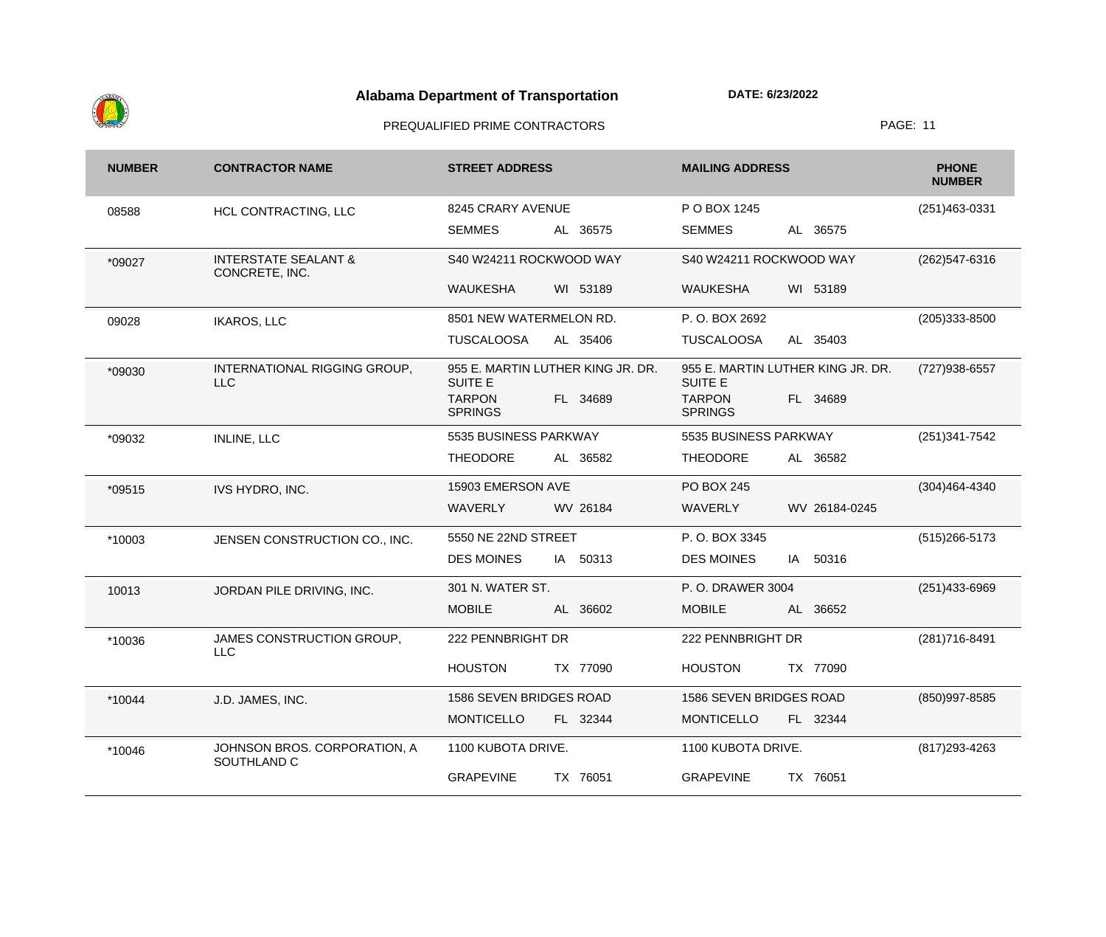

| <b>NUMBER</b> | <b>CONTRACTOR NAME</b>                            | <b>STREET ADDRESS</b>                               | <b>MAILING ADDRESS</b>                              | <b>PHONE</b><br><b>NUMBER</b> |
|---------------|---------------------------------------------------|-----------------------------------------------------|-----------------------------------------------------|-------------------------------|
| 08588         | HCL CONTRACTING, LLC                              | 8245 CRARY AVENUE                                   | P O BOX 1245                                        | $(251)463-0331$               |
|               |                                                   | AL 36575<br><b>SEMMES</b>                           | AL 36575<br><b>SEMMES</b>                           |                               |
| *09027        | <b>INTERSTATE SEALANT &amp;</b><br>CONCRETE, INC. | S40 W24211 ROCKWOOD WAY                             | S40 W24211 ROCKWOOD WAY                             | (262) 547-6316                |
|               |                                                   | WI 53189<br><b>WAUKESHA</b>                         | <b>WAUKESHA</b><br>WI 53189                         |                               |
| 09028         | <b>IKAROS, LLC</b>                                | 8501 NEW WATERMELON RD.                             | P.O. BOX 2692                                       | $(205)333 - 8500$             |
|               |                                                   | <b>TUSCALOOSA</b><br>AL 35406                       | <b>TUSCALOOSA</b><br>AL 35403                       |                               |
| *09030        | INTERNATIONAL RIGGING GROUP,<br><b>LLC</b>        | 955 E. MARTIN LUTHER KING JR. DR.<br><b>SUITE E</b> | 955 E. MARTIN LUTHER KING JR. DR.<br><b>SUITE E</b> | (727) 938-6557                |
|               |                                                   | <b>TARPON</b><br>FL 34689<br><b>SPRINGS</b>         | <b>TARPON</b><br>FL 34689<br><b>SPRINGS</b>         |                               |
| *09032        | <b>INLINE, LLC</b>                                | 5535 BUSINESS PARKWAY                               | 5535 BUSINESS PARKWAY                               | $(251)341 - 7542$             |
|               |                                                   | <b>THEODORE</b><br>AL 36582                         | <b>THEODORE</b><br>AL 36582                         |                               |
| *09515        | IVS HYDRO, INC.                                   | 15903 EMERSON AVE                                   | <b>PO BOX 245</b>                                   | $(304)464 - 4340$             |
|               |                                                   | <b>WAVERLY</b><br>WV 26184                          | WAVERLY<br>WV 26184-0245                            |                               |
| *10003        | JENSEN CONSTRUCTION CO., INC.                     | 5550 NE 22ND STREET                                 | P.O. BOX 3345                                       | $(515)266 - 5173$             |
|               |                                                   | <b>DES MOINES</b><br>IA 50313                       | 50316<br><b>DES MOINES</b><br>IA                    |                               |
| 10013         | JORDAN PILE DRIVING, INC.                         | 301 N. WATER ST.                                    | P. O. DRAWER 3004                                   | (251)433-6969                 |
|               |                                                   | <b>MOBILE</b><br>AL 36602                           | <b>MOBILE</b><br>AL 36652                           |                               |
| *10036        | JAMES CONSTRUCTION GROUP,<br><b>LLC</b>           | 222 PENNBRIGHT DR                                   | 222 PENNBRIGHT DR                                   | (281) 716-8491                |
|               |                                                   | <b>HOUSTON</b><br>TX 77090                          | <b>HOUSTON</b><br>TX 77090                          |                               |
| *10044        | J.D. JAMES, INC.                                  | 1586 SEVEN BRIDGES ROAD                             | 1586 SEVEN BRIDGES ROAD                             | (850)997-8585                 |
|               |                                                   | <b>MONTICELLO</b><br>FL 32344                       | <b>MONTICELLO</b><br>FL 32344                       |                               |
| *10046        | JOHNSON BROS. CORPORATION, A<br>SOUTHLAND C       | 1100 KUBOTA DRIVE.                                  | 1100 KUBOTA DRIVE.                                  | (817) 293-4263                |
|               |                                                   | <b>GRAPEVINE</b><br>TX 76051                        | TX 76051<br><b>GRAPEVINE</b>                        |                               |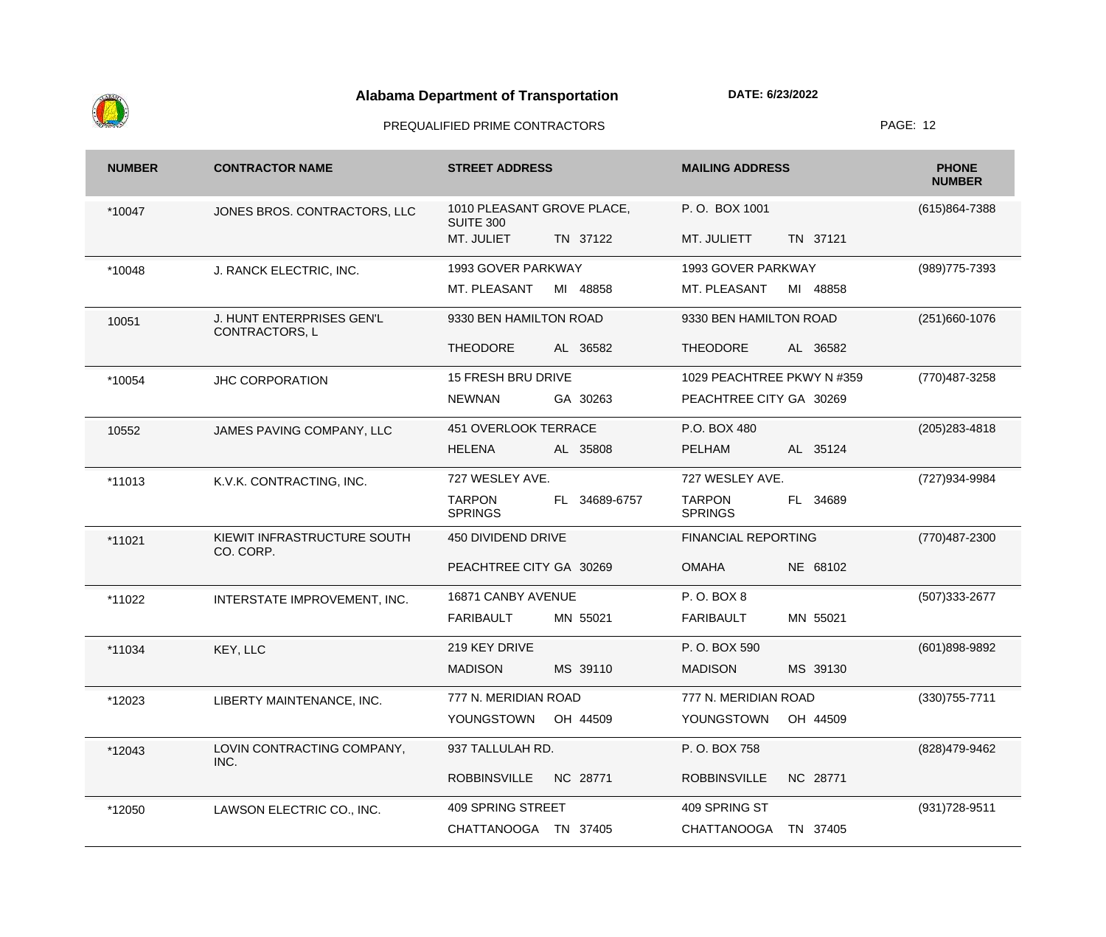

| <b>NUMBER</b> | <b>CONTRACTOR NAME</b>                      | <b>STREET ADDRESS</b>                            | <b>MAILING ADDRESS</b>                           | <b>PHONE</b><br><b>NUMBER</b> |
|---------------|---------------------------------------------|--------------------------------------------------|--------------------------------------------------|-------------------------------|
| *10047        | JONES BROS. CONTRACTORS, LLC                | 1010 PLEASANT GROVE PLACE,<br><b>SUITE 300</b>   | P.O. BOX 1001                                    | $(615)864 - 7388$             |
|               |                                             | MT. JULIET<br>TN 37122                           | TN 37121<br>MT. JULIETT                          |                               |
| *10048        | J. RANCK ELECTRIC, INC.                     | 1993 GOVER PARKWAY                               | 1993 GOVER PARKWAY                               | (989) 775-7393                |
|               |                                             | MT. PLEASANT<br>MI 48858                         | MT. PLEASANT<br>MI<br>48858                      |                               |
| 10051         | J. HUNT ENTERPRISES GEN'L<br>CONTRACTORS, L | 9330 BEN HAMILTON ROAD                           | 9330 BEN HAMILTON ROAD                           | $(251)660-1076$               |
|               |                                             | <b>THEODORE</b><br>AL 36582                      | <b>THEODORE</b><br>AL 36582                      |                               |
| *10054        | <b>JHC CORPORATION</b>                      | <b>15 FRESH BRU DRIVE</b>                        | 1029 PEACHTREE PKWY N #359                       | (770) 487-3258                |
|               |                                             | GA 30263<br><b>NEWNAN</b>                        | PEACHTREE CITY GA 30269                          |                               |
| 10552         | JAMES PAVING COMPANY, LLC                   | <b>451 OVERLOOK TERRACE</b>                      | P.O. BOX 480                                     | $(205)283 - 4818$             |
|               |                                             | <b>HELENA</b><br>AL 35808                        | AL 35124<br>PELHAM                               |                               |
| *11013        | K.V.K. CONTRACTING, INC.                    | 727 WESLEY AVE.                                  | 727 WESLEY AVE.                                  | (727)934-9984                 |
|               |                                             | <b>TARPON</b><br>FL 34689-6757<br><b>SPRINGS</b> | <b>TARPON</b><br>34689<br>FL .<br><b>SPRINGS</b> |                               |
| *11021        | KIEWIT INFRASTRUCTURE SOUTH<br>CO. CORP.    | 450 DIVIDEND DRIVE                               | <b>FINANCIAL REPORTING</b>                       | (770)487-2300                 |
|               |                                             | PEACHTREE CITY GA 30269                          | <b>OMAHA</b><br>NE 68102                         |                               |
| *11022        | INTERSTATE IMPROVEMENT, INC.                | 16871 CANBY AVENUE                               | P.O. BOX 8                                       | (507) 333-2677                |
|               |                                             | <b>FARIBAULT</b><br>MN 55021                     | MN 55021<br><b>FARIBAULT</b>                     |                               |
| *11034        | KEY, LLC                                    | 219 KEY DRIVE                                    | P.O. BOX 590                                     | $(601)898-9892$               |
|               |                                             | MS 39110<br><b>MADISON</b>                       | <b>MADISON</b><br>MS 39130                       |                               |
| *12023        | LIBERTY MAINTENANCE, INC.                   | 777 N. MERIDIAN ROAD                             | 777 N. MERIDIAN ROAD                             | $(330)755 - 7711$             |
|               |                                             | YOUNGSTOWN<br>OH 44509                           | YOUNGSTOWN<br>OH 44509                           |                               |
| *12043        | LOVIN CONTRACTING COMPANY,<br>INC.          | 937 TALLULAH RD.                                 | P.O. BOX 758                                     | (828)479-9462                 |
|               |                                             | NC 28771<br><b>ROBBINSVILLE</b>                  | NC 28771<br><b>ROBBINSVILLE</b>                  |                               |
| *12050        | LAWSON ELECTRIC CO., INC.                   | 409 SPRING STREET                                | 409 SPRING ST                                    | (931) 728-9511                |
|               |                                             | CHATTANOOGA TN 37405                             | CHATTANOOGA<br>TN 37405                          |                               |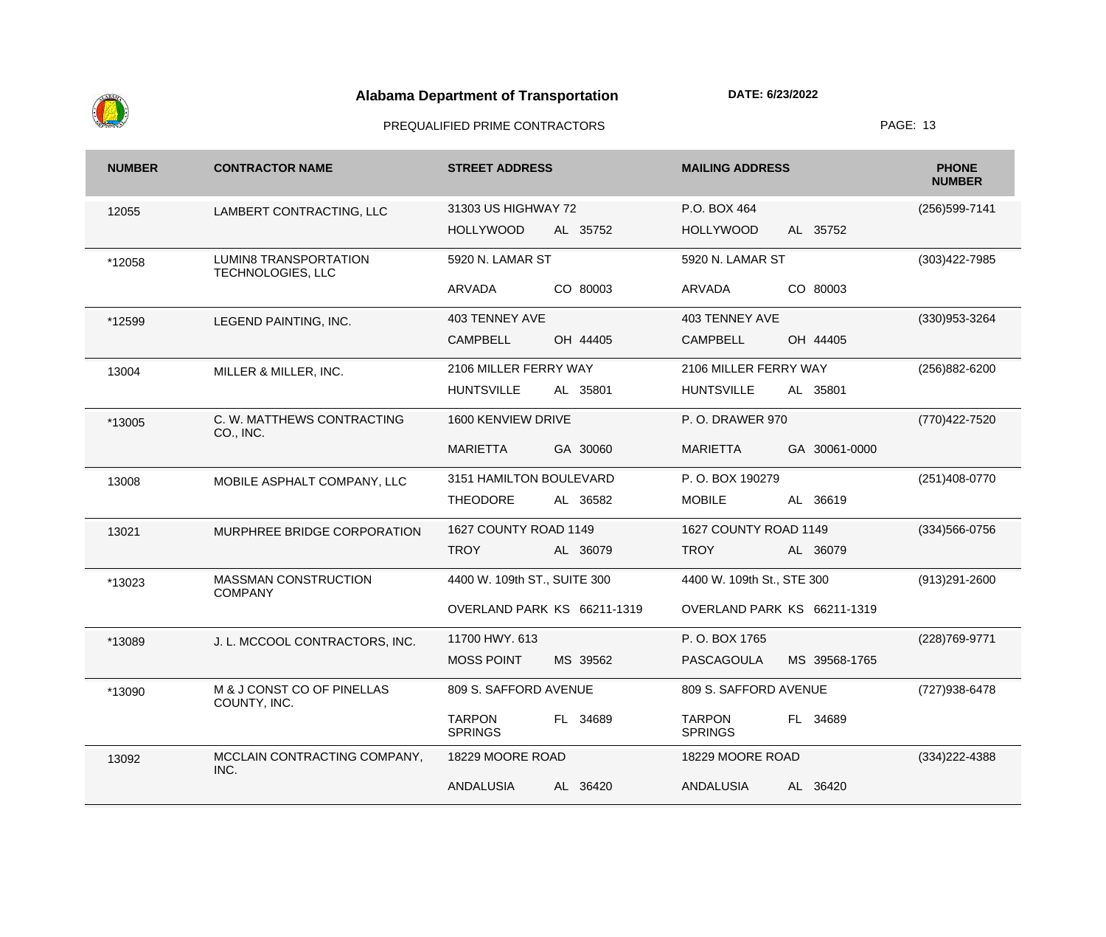

| <b>NUMBER</b> | <b>CONTRACTOR NAME</b>                            | <b>STREET ADDRESS</b>                       | <b>MAILING ADDRESS</b>                      | <b>PHONE</b><br><b>NUMBER</b> |
|---------------|---------------------------------------------------|---------------------------------------------|---------------------------------------------|-------------------------------|
| 12055         | LAMBERT CONTRACTING, LLC                          | 31303 US HIGHWAY 72                         | P.O. BOX 464                                | (256) 599-7141                |
|               |                                                   | <b>HOLLYWOOD</b><br>AL 35752                | <b>HOLLYWOOD</b><br>AL 35752                |                               |
| *12058        | <b>LUMIN8 TRANSPORTATION</b><br>TECHNOLOGIES, LLC | 5920 N. LAMAR ST                            | 5920 N. LAMAR ST                            | $(303)422 - 7985$             |
|               |                                                   | CO 80003<br>ARVADA                          | CO 80003<br>ARVADA                          |                               |
| *12599        | LEGEND PAINTING, INC.                             | 403 TENNEY AVE                              | 403 TENNEY AVE                              | $(330)953 - 3264$             |
|               |                                                   | <b>CAMPBELL</b><br>OH 44405                 | <b>CAMPBELL</b><br>OH 44405                 |                               |
| 13004         | MILLER & MILLER, INC.                             | 2106 MILLER FERRY WAY                       | 2106 MILLER FERRY WAY                       | (256) 882-6200                |
|               |                                                   | <b>HUNTSVILLE</b><br>AL 35801               | <b>HUNTSVILLE</b><br>AL 35801               |                               |
| *13005        | C. W. MATTHEWS CONTRACTING<br>CO., INC.           | 1600 KENVIEW DRIVE                          | <b>P.O. DRAWER 970</b>                      | (770) 422-7520                |
|               |                                                   | <b>MARIETTA</b><br>GA 30060                 | GA 30061-0000<br><b>MARIETTA</b>            |                               |
| 13008         | MOBILE ASPHALT COMPANY, LLC                       | 3151 HAMILTON BOULEVARD                     | P.O. BOX 190279                             | $(251)408-0770$               |
|               |                                                   | <b>THEODORE</b><br>AL 36582                 | <b>MOBILE</b><br>AL 36619                   |                               |
| 13021         | MURPHREE BRIDGE CORPORATION                       | 1627 COUNTY ROAD 1149                       | 1627 COUNTY ROAD 1149                       | $(334)566 - 0756$             |
|               |                                                   | <b>TROY</b><br>AL 36079                     | <b>TROY</b><br>AL 36079                     |                               |
| *13023        | <b>MASSMAN CONSTRUCTION</b><br><b>COMPANY</b>     | 4400 W. 109th ST., SUITE 300                | 4400 W. 109th St., STE 300                  | (913)291-2600                 |
|               |                                                   | OVERLAND PARK KS 66211-1319                 | OVERLAND PARK KS 66211-1319                 |                               |
| *13089        | J. L. MCCOOL CONTRACTORS, INC.                    | 11700 HWY. 613                              | P.O. BOX 1765                               | (228) 769-9771                |
|               |                                                   | <b>MOSS POINT</b><br>MS 39562               | <b>PASCAGOULA</b><br>MS 39568-1765          |                               |
| *13090        | M & J CONST CO OF PINELLAS<br>COUNTY, INC.        | 809 S. SAFFORD AVENUE                       | 809 S. SAFFORD AVENUE                       | (727) 938-6478                |
|               |                                                   | <b>TARPON</b><br>FL 34689<br><b>SPRINGS</b> | <b>TARPON</b><br>FL 34689<br><b>SPRINGS</b> |                               |
| 13092         | MCCLAIN CONTRACTING COMPANY,<br>INC.              | 18229 MOORE ROAD                            | 18229 MOORE ROAD                            | $(334)222 - 4388$             |
|               |                                                   | <b>ANDALUSIA</b><br>AL 36420                | <b>ANDALUSIA</b><br>AL 36420                |                               |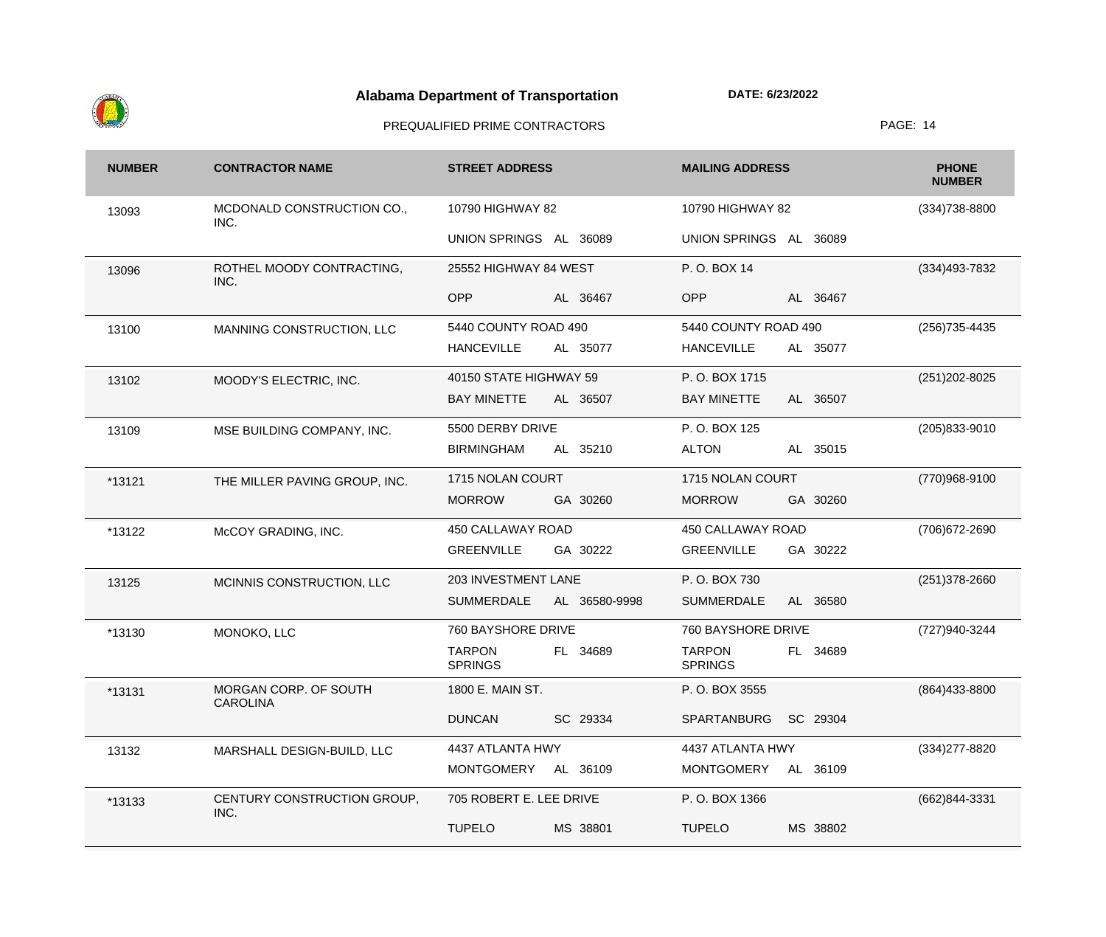

| <b>NUMBER</b> | <b>CONTRACTOR NAME</b>                   | <b>STREET ADDRESS</b>           |               | <b>MAILING ADDRESS</b>          |          | <b>PHONE</b><br><b>NUMBER</b> |
|---------------|------------------------------------------|---------------------------------|---------------|---------------------------------|----------|-------------------------------|
| 13093         | MCDONALD CONSTRUCTION CO.,<br>INC.       | 10790 HIGHWAY 82                |               | 10790 HIGHWAY 82                |          | (334) 738-8800                |
|               |                                          | UNION SPRINGS AL 36089          |               | UNION SPRINGS AL 36089          |          |                               |
| 13096         | ROTHEL MOODY CONTRACTING,<br>INC.        | 25552 HIGHWAY 84 WEST           |               | P.O. BOX 14                     |          | (334) 493 - 7832              |
|               |                                          | <b>OPP</b>                      | AL 36467      | <b>OPP</b>                      | AL 36467 |                               |
| 13100         | MANNING CONSTRUCTION, LLC                | 5440 COUNTY ROAD 490            |               | 5440 COUNTY ROAD 490            |          | (256) 735-4435                |
|               |                                          | <b>HANCEVILLE</b>               | AL 35077      | <b>HANCEVILLE</b>               | AL 35077 |                               |
| 13102         | MOODY'S ELECTRIC, INC.                   | 40150 STATE HIGHWAY 59          |               | P.O. BOX 1715                   |          | (251) 202-8025                |
|               |                                          | <b>BAY MINETTE</b>              | AL 36507      | <b>BAY MINETTE</b>              | AL 36507 |                               |
| 13109         | MSE BUILDING COMPANY, INC.               | 5500 DERBY DRIVE                |               | P.O. BOX 125                    |          | $(205)833 - 9010$             |
|               |                                          | <b>BIRMINGHAM</b>               | AL 35210      | <b>ALTON</b>                    | AL 35015 |                               |
| *13121        | THE MILLER PAVING GROUP, INC.            | 1715 NOLAN COURT                |               | 1715 NOLAN COURT                |          | (770)968-9100                 |
|               |                                          | <b>MORROW</b>                   | GA 30260      | <b>MORROW</b>                   | GA 30260 |                               |
| *13122        | McCOY GRADING, INC.                      | 450 CALLAWAY ROAD               |               | 450 CALLAWAY ROAD               |          | (706) 672-2690                |
|               |                                          | <b>GREENVILLE</b>               | GA 30222      | <b>GREENVILLE</b>               | GA 30222 |                               |
| 13125         | MCINNIS CONSTRUCTION, LLC                | 203 INVESTMENT LANE             |               | P.O. BOX 730                    |          | $(251)378 - 2660$             |
|               |                                          | <b>SUMMERDALE</b>               | AL 36580-9998 | <b>SUMMERDALE</b>               | AL 36580 |                               |
| *13130        | MONOKO, LLC                              | 760 BAYSHORE DRIVE              |               | 760 BAYSHORE DRIVE              |          | (727)940-3244                 |
|               |                                          | <b>TARPON</b><br><b>SPRINGS</b> | FL 34689      | <b>TARPON</b><br><b>SPRINGS</b> | FL 34689 |                               |
| *13131        | MORGAN CORP. OF SOUTH<br><b>CAROLINA</b> | 1800 E. MAIN ST.                |               | P.O. BOX 3555                   |          | (864) 433-8800                |
|               |                                          | <b>DUNCAN</b>                   | SC 29334      | SPARTANBURG                     | SC 29304 |                               |
| 13132         | MARSHALL DESIGN-BUILD, LLC               | 4437 ATLANTA HWY                |               | 4437 ATLANTA HWY                |          | (334) 277-8820                |
|               |                                          | MONTGOMERY AL 36109             |               | <b>MONTGOMERY</b>               | AL 36109 |                               |
| *13133        | CENTURY CONSTRUCTION GROUP,<br>INC.      | 705 ROBERT E. LEE DRIVE         |               | P.O. BOX 1366                   |          | (662)844-3331                 |
|               |                                          | <b>TUPELO</b>                   | MS 38801      | <b>TUPELO</b>                   | MS 38802 |                               |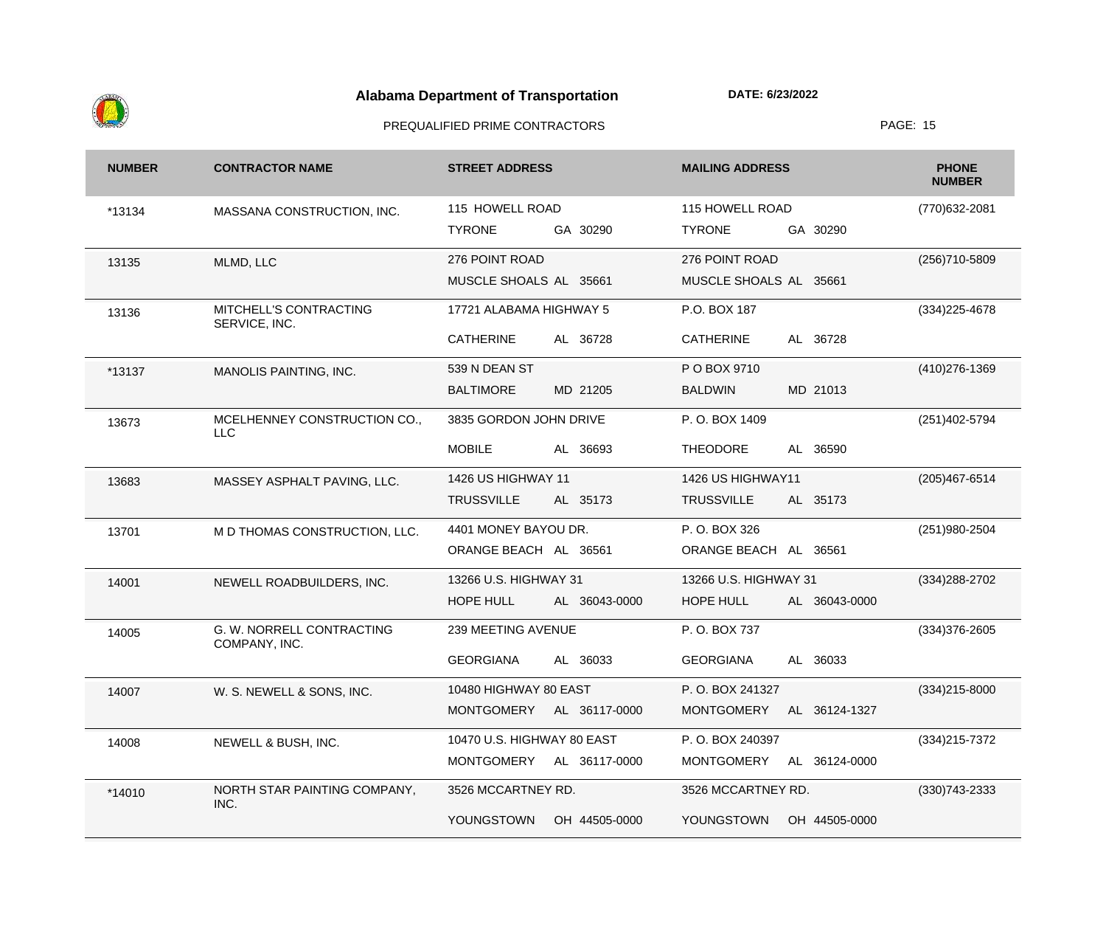

| <b>NUMBER</b> | <b>CONTRACTOR NAME</b>                     | <b>STREET ADDRESS</b>              | <b>MAILING ADDRESS</b>             | <b>PHONE</b><br><b>NUMBER</b> |
|---------------|--------------------------------------------|------------------------------------|------------------------------------|-------------------------------|
| *13134        | MASSANA CONSTRUCTION, INC.                 | 115 HOWELL ROAD                    | 115 HOWELL ROAD                    | (770) 632-2081                |
|               |                                            | <b>TYRONE</b><br>GA 30290          | <b>TYRONE</b><br>GA 30290          |                               |
| 13135         | MLMD, LLC                                  | 276 POINT ROAD                     | 276 POINT ROAD                     | (256)710-5809                 |
|               |                                            | MUSCLE SHOALS AL 35661             | MUSCLE SHOALS AL 35661             |                               |
| 13136         | MITCHELL'S CONTRACTING<br>SERVICE, INC.    | 17721 ALABAMA HIGHWAY 5            | P.O. BOX 187                       | (334) 225-4678                |
|               |                                            | <b>CATHERINE</b><br>AL 36728       | <b>CATHERINE</b><br>AL 36728       |                               |
| *13137        | MANOLIS PAINTING, INC.                     | 539 N DEAN ST                      | P O BOX 9710                       | (410) 276-1369                |
|               |                                            | <b>BALTIMORE</b><br>MD 21205       | MD 21013<br><b>BALDWIN</b>         |                               |
| 13673         | MCELHENNEY CONSTRUCTION CO.,<br><b>LLC</b> | 3835 GORDON JOHN DRIVE             | P.O. BOX 1409                      | (251)402-5794                 |
|               |                                            | <b>MOBILE</b><br>AL 36693          | <b>THEODORE</b><br>AL 36590        |                               |
| 13683         | MASSEY ASPHALT PAVING, LLC.                | 1426 US HIGHWAY 11                 | 1426 US HIGHWAY11                  | (205) 467-6514                |
|               |                                            | <b>TRUSSVILLE</b><br>AL 35173      | <b>TRUSSVILLE</b><br>AL 35173      |                               |
| 13701         | M D THOMAS CONSTRUCTION, LLC.              | 4401 MONEY BAYOU DR.               | P.O. BOX 326                       | (251) 980-2504                |
|               |                                            | ORANGE BEACH AL 36561              | ORANGE BEACH AL 36561              |                               |
| 14001         | NEWELL ROADBUILDERS, INC.                  | 13266 U.S. HIGHWAY 31              | 13266 U.S. HIGHWAY 31              | (334) 288-2702                |
|               |                                            | HOPE HULL<br>AL 36043-0000         | HOPE HULL<br>AL 36043-0000         |                               |
| 14005         | G. W. NORRELL CONTRACTING<br>COMPANY, INC. | 239 MEETING AVENUE                 | P.O. BOX 737                       | $(334)376 - 2605$             |
|               |                                            | <b>GEORGIANA</b><br>AL 36033       | <b>GEORGIANA</b><br>AL 36033       |                               |
| 14007         | W. S. NEWELL & SONS, INC.                  | 10480 HIGHWAY 80 EAST              | P.O. BOX 241327                    | (334)215-8000                 |
|               |                                            | <b>MONTGOMERY</b><br>AL 36117-0000 | <b>MONTGOMERY</b><br>AL 36124-1327 |                               |
| 14008         | NEWELL & BUSH, INC.                        | 10470 U.S. HIGHWAY 80 EAST         | P.O. BOX 240397                    | $(334)215 - 7372$             |
|               |                                            | MONTGOMERY<br>AL 36117-0000        | <b>MONTGOMERY</b><br>AL 36124-0000 |                               |
| *14010        | NORTH STAR PAINTING COMPANY,<br>INC.       | 3526 MCCARTNEY RD.                 | 3526 MCCARTNEY RD.                 | $(330)743 - 2333$             |
|               |                                            | YOUNGSTOWN<br>OH 44505-0000        | YOUNGSTOWN<br>OH 44505-0000        |                               |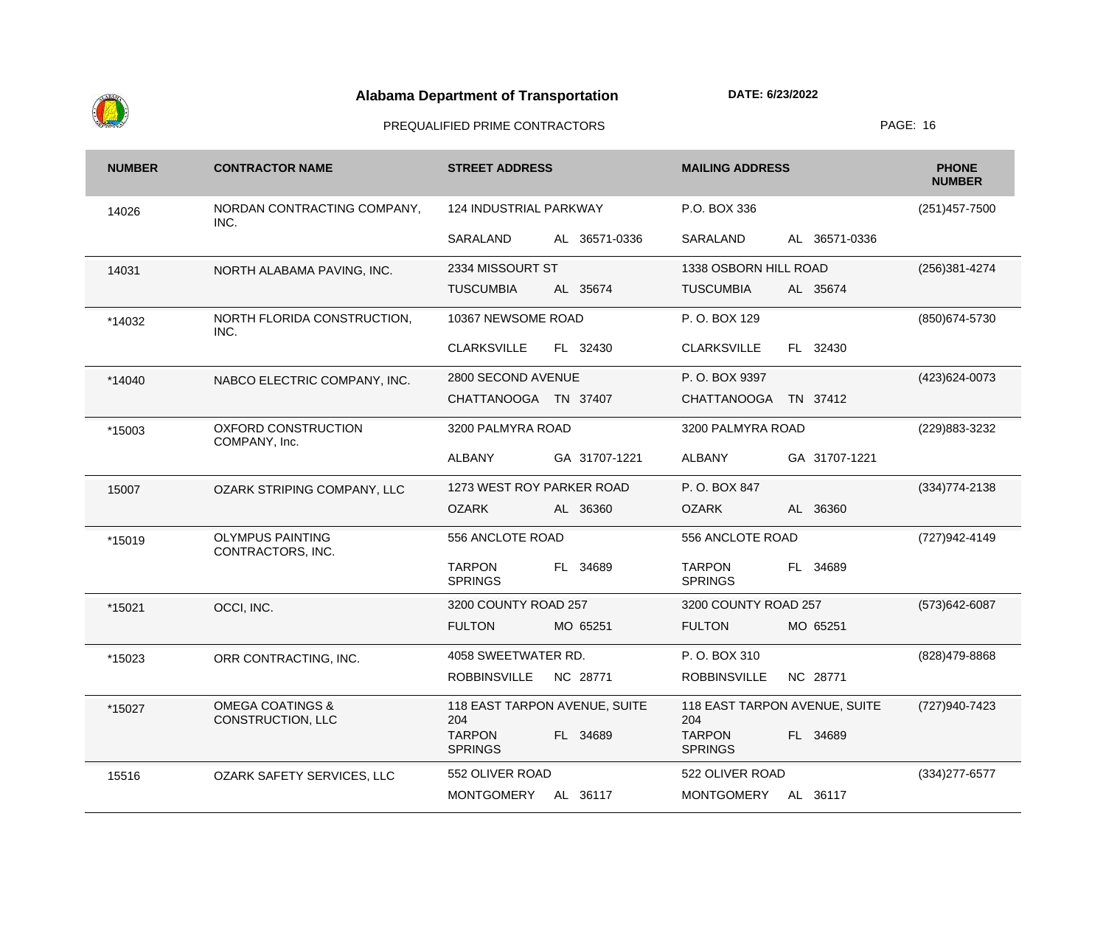

| <b>NUMBER</b> | <b>CONTRACTOR NAME</b>                           | <b>STREET ADDRESS</b>                       | <b>MAILING ADDRESS</b>                          | <b>PHONE</b><br><b>NUMBER</b> |
|---------------|--------------------------------------------------|---------------------------------------------|-------------------------------------------------|-------------------------------|
| 14026         | NORDAN CONTRACTING COMPANY,<br>INC.              | 124 INDUSTRIAL PARKWAY                      | P.O. BOX 336                                    | $(251)457 - 7500$             |
|               |                                                  | SARALAND<br>AL 36571-0336                   | AL 36571-0336<br>SARALAND                       |                               |
| 14031         | NORTH ALABAMA PAVING, INC.                       | 2334 MISSOURT ST                            | 1338 OSBORN HILL ROAD                           | (256)381-4274                 |
|               |                                                  | <b>TUSCUMBIA</b><br>AL 35674                | <b>TUSCUMBIA</b><br>AL 35674                    |                               |
| *14032        | NORTH FLORIDA CONSTRUCTION,<br>INC.              | 10367 NEWSOME ROAD                          | P.O. BOX 129                                    | (850) 674-5730                |
|               |                                                  | <b>CLARKSVILLE</b><br>FL 32430              | FL 32430<br><b>CLARKSVILLE</b>                  |                               |
| *14040        | NABCO ELECTRIC COMPANY, INC.                     | 2800 SECOND AVENUE                          | P.O. BOX 9397                                   | (423) 624-0073                |
|               |                                                  | <b>CHATTANOOGA</b><br>TN 37407              | <b>CHATTANOOGA</b><br>TN 37412                  |                               |
| *15003        | <b>OXFORD CONSTRUCTION</b><br>COMPANY, Inc.      | 3200 PALMYRA ROAD                           | 3200 PALMYRA ROAD                               | (229) 883-3232                |
|               |                                                  | <b>ALBANY</b><br>GA 31707-1221              | <b>ALBANY</b><br>GA 31707-1221                  |                               |
| 15007         | OZARK STRIPING COMPANY, LLC                      | 1273 WEST ROY PARKER ROAD                   | P.O. BOX 847                                    | $(334)774 - 2138$             |
|               |                                                  | <b>OZARK</b><br>AL 36360                    | <b>OZARK</b><br>AL 36360                        |                               |
| *15019        | <b>OLYMPUS PAINTING</b><br>CONTRACTORS, INC.     | 556 ANCLOTE ROAD                            | 556 ANCLOTE ROAD                                | (727) 942-4149                |
|               |                                                  | <b>TARPON</b><br>FL 34689<br><b>SPRINGS</b> | <b>TARPON</b><br>34689<br>FL.<br><b>SPRINGS</b> |                               |
| *15021        | OCCI, INC.                                       | 3200 COUNTY ROAD 257                        | 3200 COUNTY ROAD 257                            | (573) 642-6087                |
|               |                                                  | <b>FULTON</b><br>MO 65251                   | <b>FULTON</b><br>MO 65251                       |                               |
| *15023        | ORR CONTRACTING, INC.                            | 4058 SWEETWATER RD.                         | P.O. BOX 310                                    | (828) 479-8868                |
|               |                                                  | <b>ROBBINSVILLE</b><br>NC 28771             | <b>ROBBINSVILLE</b><br>NC 28771                 |                               |
| *15027        | <b>OMEGA COATINGS &amp;</b><br>CONSTRUCTION, LLC | 118 EAST TARPON AVENUE, SUITE<br>204        | 118 EAST TARPON AVENUE, SUITE<br>204            | (727)940-7423                 |
|               |                                                  | <b>TARPON</b><br>FL 34689<br><b>SPRINGS</b> | <b>TARPON</b><br>FL 34689<br><b>SPRINGS</b>     |                               |
| 15516         | <b>OZARK SAFETY SERVICES, LLC</b>                | 552 OLIVER ROAD                             | 522 OLIVER ROAD                                 | $(334)277 - 6577$             |
|               |                                                  | <b>MONTGOMERY</b><br>AL 36117               | <b>MONTGOMERY</b><br>AL 36117                   |                               |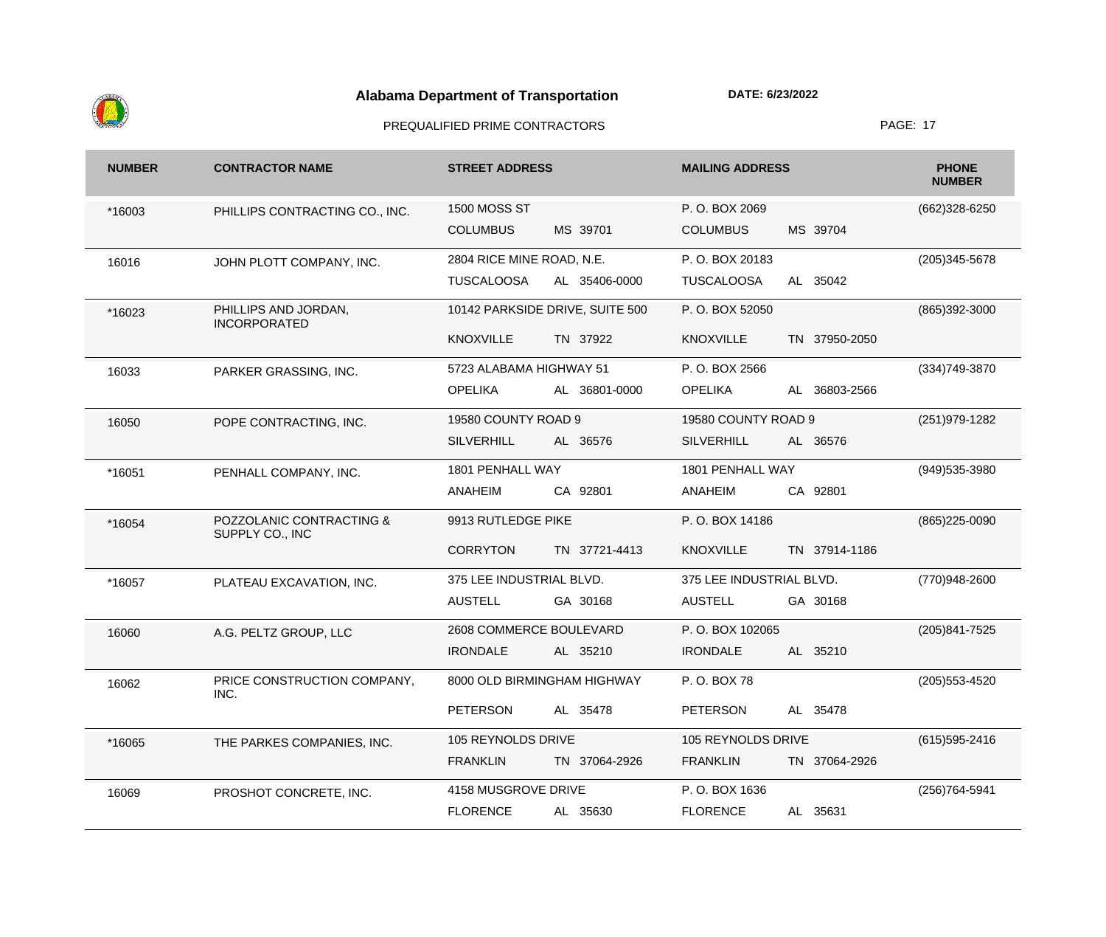

| <b>NUMBER</b> | <b>CONTRACTOR NAME</b>                      | <b>STREET ADDRESS</b>     |                                 | <b>MAILING ADDRESS</b>   |               | <b>PHONE</b><br><b>NUMBER</b> |
|---------------|---------------------------------------------|---------------------------|---------------------------------|--------------------------|---------------|-------------------------------|
| *16003        | PHILLIPS CONTRACTING CO., INC.              | <b>1500 MOSS ST</b>       |                                 | P.O. BOX 2069            |               | (662)328-6250                 |
|               |                                             | <b>COLUMBUS</b>           | MS 39701                        | <b>COLUMBUS</b>          | MS 39704      |                               |
| 16016         | JOHN PLOTT COMPANY, INC.                    | 2804 RICE MINE ROAD, N.E. |                                 | P.O. BOX 20183           |               | (205) 345-5678                |
|               |                                             | <b>TUSCALOOSA</b>         | AL 35406-0000                   | <b>TUSCALOOSA</b>        | AL 35042      |                               |
| *16023        | PHILLIPS AND JORDAN,<br><b>INCORPORATED</b> |                           | 10142 PARKSIDE DRIVE, SUITE 500 | P.O. BOX 52050           |               | (865)392-3000                 |
|               |                                             | <b>KNOXVILLE</b>          | TN 37922                        | <b>KNOXVILLE</b>         | TN 37950-2050 |                               |
| 16033         | PARKER GRASSING, INC.                       | 5723 ALABAMA HIGHWAY 51   |                                 | P.O. BOX 2566            |               | (334) 749-3870                |
|               |                                             | <b>OPELIKA</b>            | AL 36801-0000                   | <b>OPELIKA</b>           | AL 36803-2566 |                               |
| 16050         | POPE CONTRACTING, INC.                      | 19580 COUNTY ROAD 9       |                                 | 19580 COUNTY ROAD 9      |               | (251) 979-1282                |
|               |                                             | <b>SILVERHILL</b>         | AL 36576                        | <b>SILVERHILL</b>        | AL 36576      |                               |
| *16051        | PENHALL COMPANY, INC.                       | 1801 PENHALL WAY          |                                 | 1801 PENHALL WAY         |               | (949) 535-3980                |
|               |                                             | <b>ANAHEIM</b>            | CA 92801                        | ANAHEIM                  | CA 92801      |                               |
| *16054        | POZZOLANIC CONTRACTING &<br>SUPPLY CO., INC | 9913 RUTLEDGE PIKE        |                                 | P.O. BOX 14186           |               | (865) 225-0090                |
|               |                                             | <b>CORRYTON</b>           | TN 37721-4413                   | <b>KNOXVILLE</b>         | TN 37914-1186 |                               |
| *16057        | PLATEAU EXCAVATION, INC.                    | 375 LEE INDUSTRIAL BLVD.  |                                 | 375 LEE INDUSTRIAL BLVD. |               | (770)948-2600                 |
|               |                                             | <b>AUSTELL</b>            | GA 30168                        | <b>AUSTELL</b>           | GA 30168      |                               |
| 16060         | A.G. PELTZ GROUP, LLC                       | 2608 COMMERCE BOULEVARD   |                                 | P.O. BOX 102065          |               | (205) 841-7525                |
|               |                                             | <b>IRONDALE</b>           | AL 35210                        | <b>IRONDALE</b>          | AL 35210      |                               |
| 16062         | PRICE CONSTRUCTION COMPANY,<br>INC.         |                           | 8000 OLD BIRMINGHAM HIGHWAY     | P.O. BOX 78              |               | (205) 553-4520                |
|               |                                             | <b>PETERSON</b>           | AL 35478                        | <b>PETERSON</b>          | AL 35478      |                               |
| *16065        | THE PARKES COMPANIES, INC.                  | 105 REYNOLDS DRIVE        |                                 | 105 REYNOLDS DRIVE       |               | (615) 595-2416                |
|               |                                             | <b>FRANKLIN</b>           | TN 37064-2926                   | <b>FRANKLIN</b>          | TN 37064-2926 |                               |
| 16069         | PROSHOT CONCRETE, INC.                      | 4158 MUSGROVE DRIVE       |                                 | P.O. BOX 1636            |               | (256) 764-5941                |
|               |                                             | <b>FLORENCE</b>           | AL 35630                        | <b>FLORENCE</b>          | AL 35631      |                               |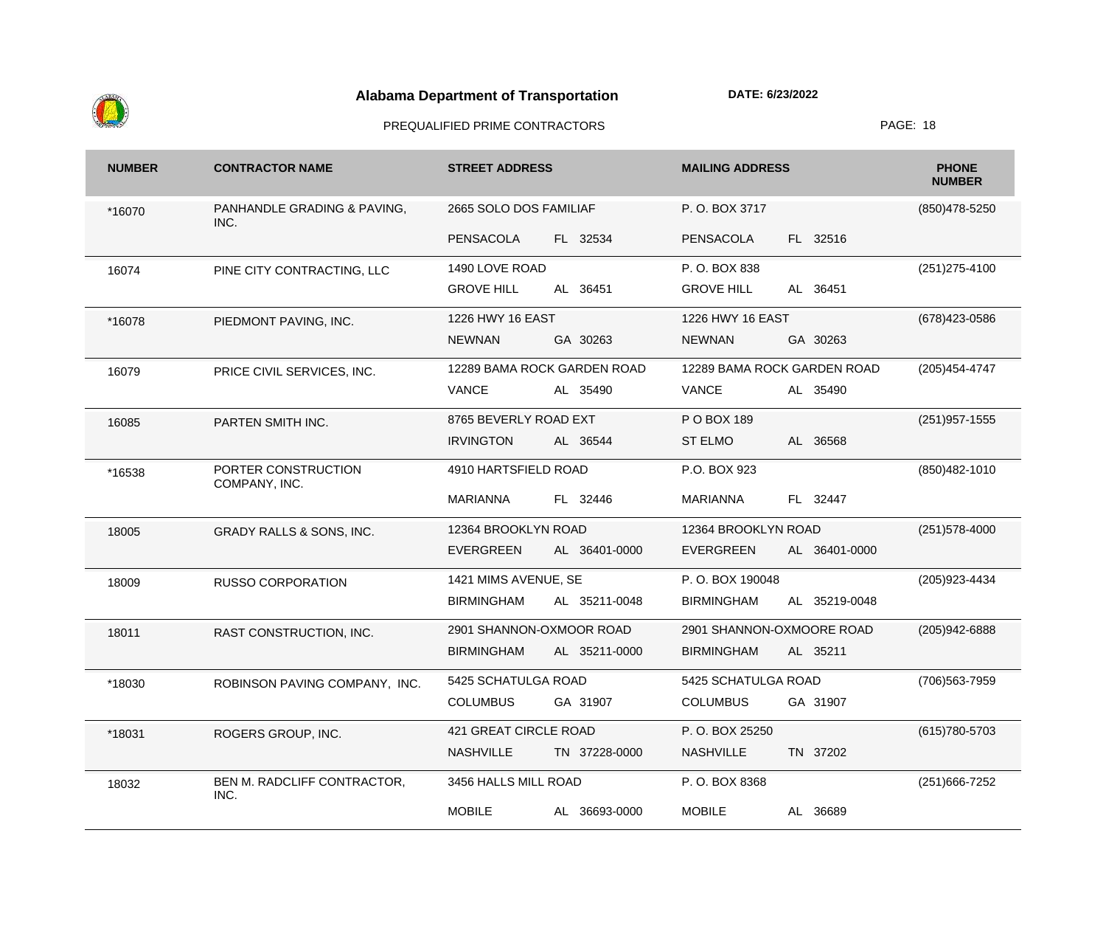

| <b>NUMBER</b> | <b>CONTRACTOR NAME</b>               | <b>STREET ADDRESS</b>              | <b>MAILING ADDRESS</b>             | <b>PHONE</b><br><b>NUMBER</b> |
|---------------|--------------------------------------|------------------------------------|------------------------------------|-------------------------------|
| *16070        | PANHANDLE GRADING & PAVING,<br>INC.  | 2665 SOLO DOS FAMILIAF             | P.O. BOX 3717                      | (850) 478-5250                |
|               |                                      | FL 32534<br><b>PENSACOLA</b>       | FL 32516<br><b>PENSACOLA</b>       |                               |
| 16074         | PINE CITY CONTRACTING, LLC           | 1490 LOVE ROAD                     | P.O. BOX 838                       | $(251)275-4100$               |
|               |                                      | <b>GROVE HILL</b><br>AL 36451      | <b>GROVE HILL</b><br>AL 36451      |                               |
| *16078        | PIEDMONT PAVING, INC.                | 1226 HWY 16 EAST                   | 1226 HWY 16 EAST                   | (678) 423-0586                |
|               |                                      | <b>NEWNAN</b><br>GA 30263          | <b>NEWNAN</b><br>GA 30263          |                               |
| 16079         | PRICE CIVIL SERVICES, INC.           | 12289 BAMA ROCK GARDEN ROAD        | 12289 BAMA ROCK GARDEN ROAD        | (205) 454-4747                |
|               |                                      | <b>VANCE</b><br>AL 35490           | <b>VANCE</b><br>AL 35490           |                               |
| 16085         | PARTEN SMITH INC.                    | 8765 BEVERLY ROAD EXT              | P O BOX 189                        | $(251)957 - 1555$             |
|               |                                      | <b>IRVINGTON</b><br>AL 36544       | <b>ST ELMO</b><br>AL 36568         |                               |
| *16538        | PORTER CONSTRUCTION<br>COMPANY, INC. | 4910 HARTSFIELD ROAD               | P.O. BOX 923                       | (850) 482-1010                |
|               |                                      | <b>MARIANNA</b><br>FL 32446        | <b>MARIANNA</b><br>FL 32447        |                               |
| 18005         | GRADY RALLS & SONS, INC.             | 12364 BROOKLYN ROAD                | 12364 BROOKLYN ROAD                | $(251)578-4000$               |
|               |                                      | <b>EVERGREEN</b><br>AL 36401-0000  | <b>EVERGREEN</b><br>AL 36401-0000  |                               |
| 18009         | <b>RUSSO CORPORATION</b>             | 1421 MIMS AVENUE, SE               | P.O. BOX 190048                    | (205) 923-4434                |
|               |                                      | <b>BIRMINGHAM</b><br>AL 35211-0048 | <b>BIRMINGHAM</b><br>AL 35219-0048 |                               |
| 18011         | RAST CONSTRUCTION, INC.              | 2901 SHANNON-OXMOOR ROAD           | 2901 SHANNON-OXMOORE ROAD          | (205) 942-6888                |
|               |                                      | <b>BIRMINGHAM</b><br>AL 35211-0000 | <b>BIRMINGHAM</b><br>AL 35211      |                               |
| *18030        | ROBINSON PAVING COMPANY, INC.        | 5425 SCHATULGA ROAD                | 5425 SCHATULGA ROAD                | (706) 563-7959                |
|               |                                      | <b>COLUMBUS</b><br>GA 31907        | <b>COLUMBUS</b><br>GA 31907        |                               |
| *18031        | ROGERS GROUP, INC.                   | 421 GREAT CIRCLE ROAD              | P.O. BOX 25250                     | (615) 780-5703                |
|               |                                      | <b>NASHVILLE</b><br>TN 37228-0000  | TN 37202<br><b>NASHVILLE</b>       |                               |
| 18032         | BEN M. RADCLIFF CONTRACTOR,<br>INC.  | 3456 HALLS MILL ROAD               | P.O. BOX 8368                      | (251) 666-7252                |
|               |                                      | <b>MOBILE</b><br>AL 36693-0000     | <b>MOBILE</b><br>AL 36689          |                               |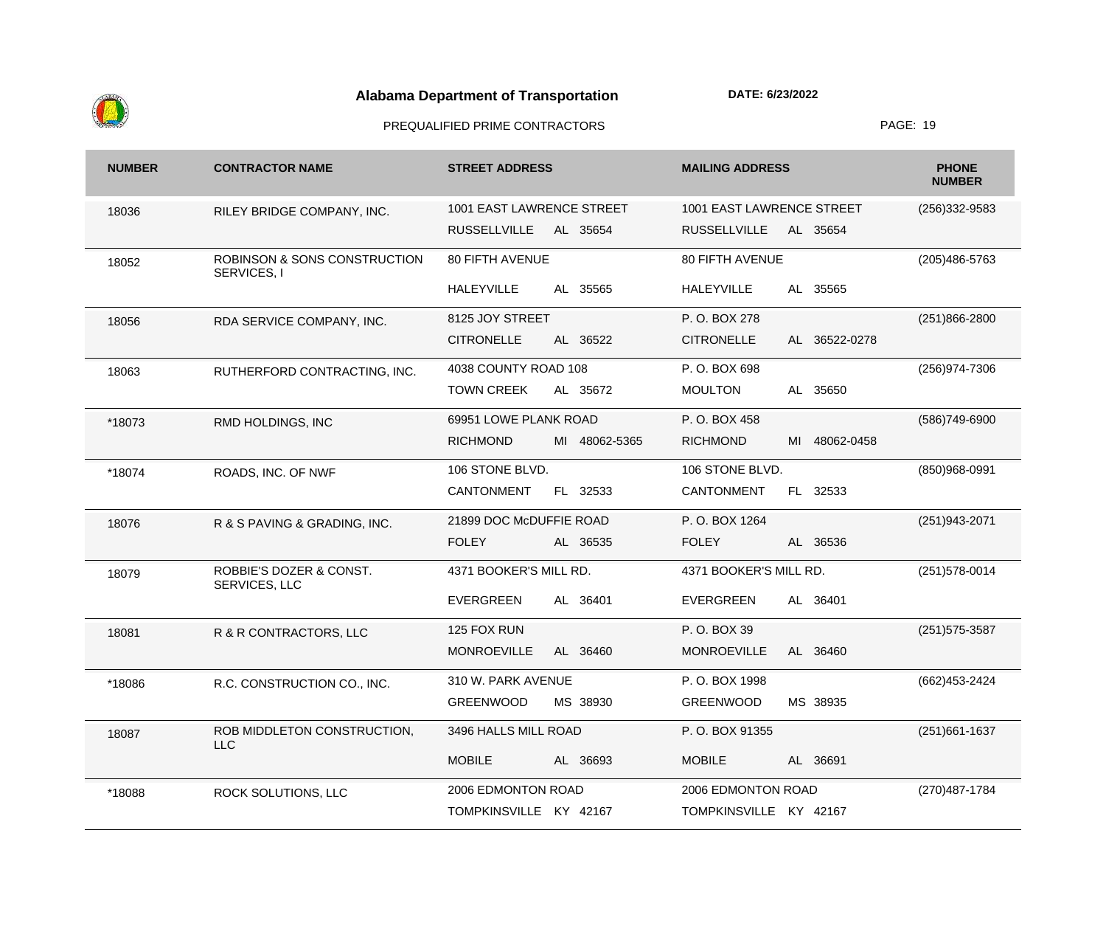

| <b>NUMBER</b> | <b>CONTRACTOR NAME</b>                      | <b>STREET ADDRESS</b>            | <b>MAILING ADDRESS</b>             | <b>PHONE</b><br><b>NUMBER</b> |
|---------------|---------------------------------------------|----------------------------------|------------------------------------|-------------------------------|
| 18036         | RILEY BRIDGE COMPANY, INC.                  | 1001 EAST LAWRENCE STREET        | 1001 EAST LAWRENCE STREET          | $(256)332-9583$               |
|               |                                             | <b>RUSSELLVILLE</b><br>AL 35654  | <b>RUSSELLVILLE</b><br>AL 35654    |                               |
| 18052         | ROBINSON & SONS CONSTRUCTION<br>SERVICES, I | <b>80 FIFTH AVENUE</b>           | 80 FIFTH AVENUE                    | (205) 486-5763                |
|               |                                             | <b>HALEYVILLE</b><br>AL 35565    | 35565<br><b>HALEYVILLE</b><br>AL   |                               |
| 18056         | RDA SERVICE COMPANY, INC.                   | 8125 JOY STREET                  | P.O. BOX 278                       | (251)866-2800                 |
|               |                                             | <b>CITRONELLE</b><br>AL 36522    | <b>CITRONELLE</b><br>AL 36522-0278 |                               |
| 18063         | RUTHERFORD CONTRACTING, INC.                | 4038 COUNTY ROAD 108             | P.O. BOX 698                       | (256) 974-7306                |
|               |                                             | <b>TOWN CREEK</b><br>AL 35672    | AL 35650<br><b>MOULTON</b>         |                               |
| *18073        | RMD HOLDINGS, INC                           | 69951 LOWE PLANK ROAD            | P.O. BOX 458                       | (586)749-6900                 |
|               |                                             | <b>RICHMOND</b><br>MI 48062-5365 | <b>RICHMOND</b><br>MI 48062-0458   |                               |
| *18074        | ROADS, INC. OF NWF                          | 106 STONE BLVD.                  | 106 STONE BLVD.                    | (850)968-0991                 |
|               |                                             | <b>CANTONMENT</b><br>FL 32533    | <b>CANTONMENT</b><br>FL 32533      |                               |
| 18076         | R & S PAVING & GRADING, INC.                | 21899 DOC McDUFFIE ROAD          | P.O. BOX 1264                      | (251) 943-2071                |
|               |                                             | <b>FOLEY</b><br>AL 36535         | <b>FOLEY</b><br>AL 36536           |                               |
| 18079         | ROBBIE'S DOZER & CONST.<br>SERVICES, LLC    | 4371 BOOKER'S MILL RD.           | 4371 BOOKER'S MILL RD.             | $(251)578-0014$               |
|               |                                             | AL 36401<br><b>EVERGREEN</b>     | <b>EVERGREEN</b><br>AL 36401       |                               |
| 18081         | R & R CONTRACTORS, LLC                      | 125 FOX RUN                      | P.O. BOX 39                        | (251) 575-3587                |
|               |                                             | <b>MONROEVILLE</b><br>AL 36460   | <b>MONROEVILLE</b><br>AL 36460     |                               |
| *18086        | R.C. CONSTRUCTION CO., INC.                 | 310 W. PARK AVENUE               | P. O. BOX 1998                     | (662) 453-2424                |
|               |                                             | <b>GREENWOOD</b><br>MS 38930     | <b>GREENWOOD</b><br>MS 38935       |                               |
| 18087         | ROB MIDDLETON CONSTRUCTION,<br><b>LLC</b>   | 3496 HALLS MILL ROAD             | P.O. BOX 91355                     | $(251)661-1637$               |
|               |                                             | <b>MOBILE</b><br>AL 36693        | <b>MOBILE</b><br>AL 36691          |                               |
| *18088        | ROCK SOLUTIONS, LLC                         | 2006 EDMONTON ROAD               | 2006 EDMONTON ROAD                 | (270) 487-1784                |
|               |                                             | TOMPKINSVILLE KY 42167           | TOMPKINSVILLE KY 42167             |                               |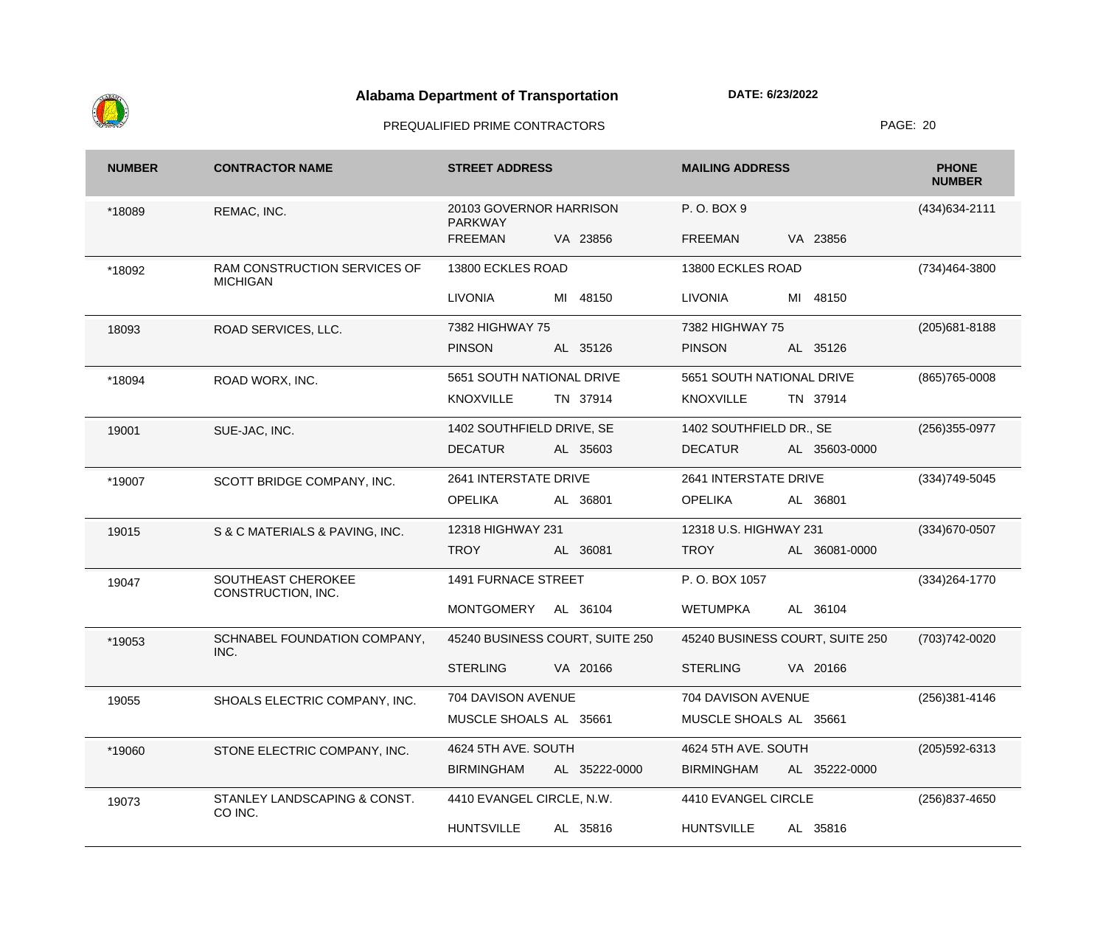

| <b>NUMBER</b> | <b>CONTRACTOR NAME</b>                          | <b>STREET ADDRESS</b>                     | <b>MAILING ADDRESS</b>             | <b>PHONE</b><br><b>NUMBER</b> |
|---------------|-------------------------------------------------|-------------------------------------------|------------------------------------|-------------------------------|
| *18089        | REMAC, INC.                                     | 20103 GOVERNOR HARRISON<br><b>PARKWAY</b> | P.O. BOX 9                         | (434) 634-2111                |
|               |                                                 | VA 23856<br><b>FREEMAN</b>                | VA 23856<br><b>FREEMAN</b>         |                               |
| *18092        | RAM CONSTRUCTION SERVICES OF<br><b>MICHIGAN</b> | 13800 ECKLES ROAD                         | 13800 ECKLES ROAD                  | (734)464-3800                 |
|               |                                                 | <b>LIVONIA</b><br>MI 48150                | <b>LIVONIA</b><br>MI 48150         |                               |
| 18093         | ROAD SERVICES, LLC.                             | 7382 HIGHWAY 75                           | 7382 HIGHWAY 75                    | $(205)681 - 8188$             |
|               |                                                 | <b>PINSON</b><br>AL 35126                 | <b>PINSON</b><br>AL 35126          |                               |
| *18094        | ROAD WORX, INC.                                 | 5651 SOUTH NATIONAL DRIVE                 | 5651 SOUTH NATIONAL DRIVE          | $(865)765 - 0008$             |
|               |                                                 | <b>KNOXVILLE</b><br>TN 37914              | <b>KNOXVILLE</b><br>TN 37914       |                               |
| 19001         | SUE-JAC, INC.                                   | 1402 SOUTHFIELD DRIVE, SE                 | 1402 SOUTHFIELD DR., SE            | $(256)355-0977$               |
|               |                                                 | <b>DECATUR</b><br>AL 35603                | <b>DECATUR</b><br>AL 35603-0000    |                               |
| *19007        | SCOTT BRIDGE COMPANY, INC.                      | 2641 INTERSTATE DRIVE                     | 2641 INTERSTATE DRIVE              | (334) 749-5045                |
|               |                                                 | <b>OPELIKA</b><br>AL 36801                | <b>OPELIKA</b><br>AL 36801         |                               |
| 19015         | S & C MATERIALS & PAVING, INC.                  | 12318 HIGHWAY 231                         | 12318 U.S. HIGHWAY 231             | (334) 670-0507                |
|               |                                                 | <b>TROY</b><br>AL 36081                   | <b>TROY</b><br>AL 36081-0000       |                               |
| 19047         | SOUTHEAST CHEROKEE<br>CONSTRUCTION, INC.        | <b>1491 FURNACE STREET</b>                | P.O. BOX 1057                      | $(334)264 - 1770$             |
|               |                                                 | MONTGOMERY<br>AL 36104                    | <b>WETUMPKA</b><br>AL 36104        |                               |
| *19053        | SCHNABEL FOUNDATION COMPANY,<br>INC.            | 45240 BUSINESS COURT, SUITE 250           | 45240 BUSINESS COURT, SUITE 250    | (703) 742-0020                |
|               |                                                 | <b>STERLING</b><br>VA 20166               | <b>STERLING</b><br>VA 20166        |                               |
| 19055         | SHOALS ELECTRIC COMPANY, INC.                   | 704 DAVISON AVENUE                        | 704 DAVISON AVENUE                 | (256)381-4146                 |
|               |                                                 | MUSCLE SHOALS AL 35661                    | MUSCLE SHOALS AL 35661             |                               |
| *19060        | STONE ELECTRIC COMPANY, INC.                    | 4624 5TH AVE. SOUTH                       | 4624 5TH AVE. SOUTH                | $(205)592 - 6313$             |
|               |                                                 | <b>BIRMINGHAM</b><br>AL 35222-0000        | <b>BIRMINGHAM</b><br>AL 35222-0000 |                               |
| 19073         | STANLEY LANDSCAPING & CONST.<br>CO INC.         | 4410 EVANGEL CIRCLE, N.W.                 | 4410 EVANGEL CIRCLE                | (256) 837-4650                |
|               |                                                 | <b>HUNTSVILLE</b><br>AL 35816             | <b>HUNTSVILLE</b><br>AL 35816      |                               |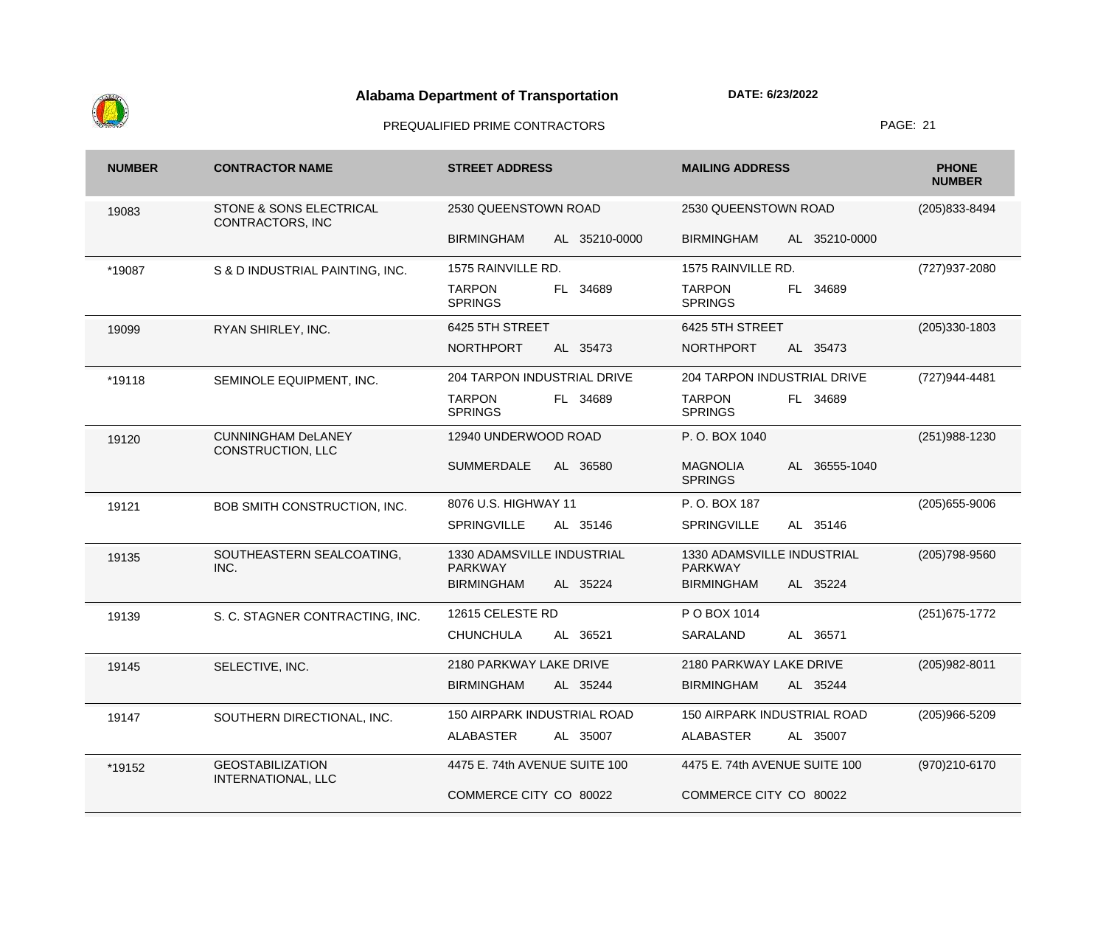

| <b>NUMBER</b> | <b>CONTRACTOR NAME</b>                                 | <b>STREET ADDRESS</b>                        | <b>MAILING ADDRESS</b>                             | <b>PHONE</b><br><b>NUMBER</b> |
|---------------|--------------------------------------------------------|----------------------------------------------|----------------------------------------------------|-------------------------------|
| 19083         | <b>STONE &amp; SONS ELECTRICAL</b><br>CONTRACTORS, INC | 2530 QUEENSTOWN ROAD                         | 2530 QUEENSTOWN ROAD                               | (205) 833-8494                |
|               |                                                        | <b>BIRMINGHAM</b><br>AL 35210-0000           | <b>BIRMINGHAM</b><br>AL 35210-0000                 |                               |
| *19087        | S & D INDUSTRIAL PAINTING, INC.                        | 1575 RAINVILLE RD.                           | 1575 RAINVILLE RD.                                 | (727) 937-2080                |
|               |                                                        | <b>TARPON</b><br>FL 34689<br><b>SPRINGS</b>  | <b>TARPON</b><br>34689<br>FL .<br><b>SPRINGS</b>   |                               |
| 19099         | RYAN SHIRLEY, INC.                                     | 6425 5TH STREET                              | 6425 5TH STREET                                    | $(205)330-1803$               |
|               |                                                        | <b>NORTHPORT</b><br>AL 35473                 | <b>NORTHPORT</b><br>AL 35473                       |                               |
| *19118        | SEMINOLE EQUIPMENT, INC.                               | 204 TARPON INDUSTRIAL DRIVE                  | 204 TARPON INDUSTRIAL DRIVE                        | (727)944-4481                 |
|               |                                                        | <b>TARPON</b><br>FL 34689<br><b>SPRINGS</b>  | <b>TARPON</b><br>FL 34689<br><b>SPRINGS</b>        |                               |
| 19120         | <b>CUNNINGHAM DeLANEY</b><br><b>CONSTRUCTION, LLC</b>  | 12940 UNDERWOOD ROAD                         | P.O. BOX 1040                                      | (251) 988-1230                |
|               |                                                        | <b>SUMMERDALE</b><br>AL 36580                | <b>MAGNOLIA</b><br>AL 36555-1040<br><b>SPRINGS</b> |                               |
| 19121         | BOB SMITH CONSTRUCTION, INC.                           | 8076 U.S. HIGHWAY 11                         | P.O. BOX 187                                       | $(205)655 - 9006$             |
|               |                                                        | <b>SPRINGVILLE</b><br>AL 35146               | <b>SPRINGVILLE</b><br>AL 35146                     |                               |
| 19135         | SOUTHEASTERN SEALCOATING,<br>INC.                      | 1330 ADAMSVILLE INDUSTRIAL<br><b>PARKWAY</b> | 1330 ADAMSVILLE INDUSTRIAL<br><b>PARKWAY</b>       | (205) 798-9560                |
|               |                                                        | <b>BIRMINGHAM</b><br>AL 35224                | <b>BIRMINGHAM</b><br>AL 35224                      |                               |
| 19139         | S. C. STAGNER CONTRACTING, INC.                        | 12615 CELESTE RD                             | P O BOX 1014                                       | (251) 675-1772                |
|               |                                                        | <b>CHUNCHULA</b><br>AL 36521                 | SARALAND<br>AL 36571                               |                               |
| 19145         | SELECTIVE, INC.                                        | 2180 PARKWAY LAKE DRIVE                      | 2180 PARKWAY LAKE DRIVE                            | (205) 982-8011                |
|               |                                                        | BIRMINGHAM<br>AL 35244                       | <b>BIRMINGHAM</b><br>AL 35244                      |                               |
| 19147         | SOUTHERN DIRECTIONAL, INC.                             | <b>150 AIRPARK INDUSTRIAL ROAD</b>           | 150 AIRPARK INDUSTRIAL ROAD                        | $(205)966 - 5209$             |
|               |                                                        | <b>ALABASTER</b><br>AL 35007                 | <b>ALABASTER</b><br>AL 35007                       |                               |
| *19152        | <b>GEOSTABILIZATION</b><br>INTERNATIONAL, LLC          | 4475 E. 74th AVENUE SUITE 100                | 4475 E. 74th AVENUE SUITE 100                      | (970)210-6170                 |
|               |                                                        | COMMERCE CITY CO 80022                       | COMMERCE CITY CO 80022                             |                               |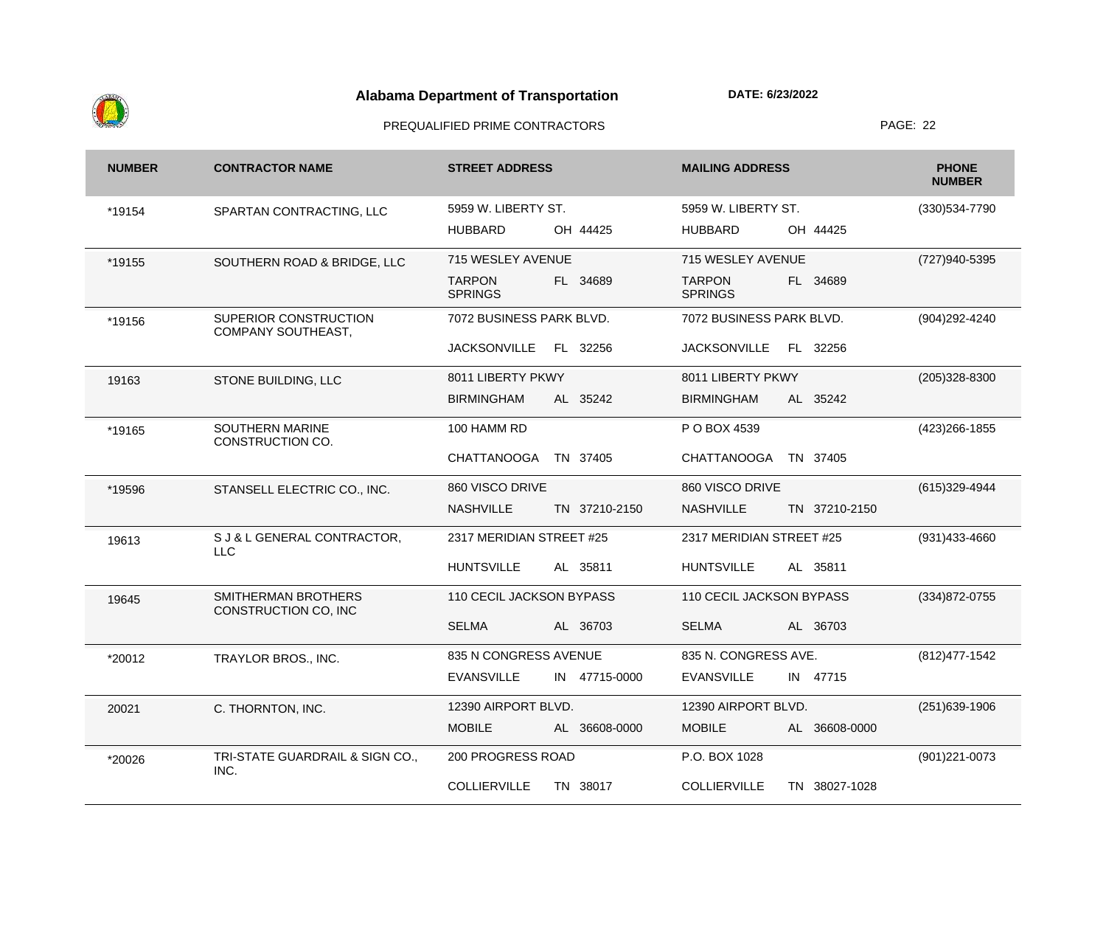

| <b>NUMBER</b> | <b>CONTRACTOR NAME</b>                      | <b>STREET ADDRESS</b>                       | <b>MAILING ADDRESS</b>                      | <b>PHONE</b><br><b>NUMBER</b> |
|---------------|---------------------------------------------|---------------------------------------------|---------------------------------------------|-------------------------------|
| *19154        | SPARTAN CONTRACTING, LLC                    | 5959 W. LIBERTY ST.                         | 5959 W. LIBERTY ST.                         | (330) 534-7790                |
|               |                                             | OH 44425<br><b>HUBBARD</b>                  | OH 44425<br><b>HUBBARD</b>                  |                               |
| *19155        | SOUTHERN ROAD & BRIDGE, LLC                 | 715 WESLEY AVENUE                           | 715 WESLEY AVENUE                           | (727)940-5395                 |
|               |                                             | <b>TARPON</b><br>FL 34689<br><b>SPRINGS</b> | <b>TARPON</b><br>FL 34689<br><b>SPRINGS</b> |                               |
| *19156        | SUPERIOR CONSTRUCTION<br>COMPANY SOUTHEAST, | 7072 BUSINESS PARK BLVD.                    | 7072 BUSINESS PARK BLVD.                    | (904) 292-4240                |
|               |                                             | <b>JACKSONVILLE</b><br>FL 32256             | <b>JACKSONVILLE</b><br>FL 32256             |                               |
| 19163         | STONE BUILDING, LLC                         | 8011 LIBERTY PKWY                           | 8011 LIBERTY PKWY                           | $(205)328 - 8300$             |
|               |                                             | <b>BIRMINGHAM</b><br>AL 35242               | <b>BIRMINGHAM</b><br>AL 35242               |                               |
| *19165        | <b>SOUTHERN MARINE</b><br>CONSTRUCTION CO.  | 100 HAMM RD                                 | P O BOX 4539                                | (423) 266-1855                |
|               |                                             | <b>CHATTANOOGA</b><br>TN 37405              | <b>CHATTANOOGA</b><br>TN 37405              |                               |
| *19596        | STANSELL ELECTRIC CO., INC.                 | 860 VISCO DRIVE                             | 860 VISCO DRIVE                             | (615) 329-4944                |
|               |                                             | <b>NASHVILLE</b><br>TN 37210-2150           | <b>NASHVILLE</b><br>TN 37210-2150           |                               |
| 19613         | S J & L GENERAL CONTRACTOR,<br><b>LLC</b>   | 2317 MERIDIAN STREET #25                    | 2317 MERIDIAN STREET #25                    | (931)433-4660                 |
|               |                                             | <b>HUNTSVILLE</b><br>AL 35811               | <b>HUNTSVILLE</b><br>AL 35811               |                               |
| 19645         | SMITHERMAN BROTHERS<br>CONSTRUCTION CO, INC | 110 CECIL JACKSON BYPASS                    | 110 CECIL JACKSON BYPASS                    | (334) 872-0755                |
|               |                                             | <b>SELMA</b><br>AL 36703                    | <b>SELMA</b><br>AL 36703                    |                               |
| *20012        | TRAYLOR BROS., INC.                         | 835 N CONGRESS AVENUE                       | 835 N. CONGRESS AVE.                        | (812) 477-1542                |
|               |                                             | <b>EVANSVILLE</b><br>IN 47715-0000          | <b>EVANSVILLE</b><br>IN 47715               |                               |
| 20021         | C. THORNTON, INC.                           | 12390 AIRPORT BLVD.                         | 12390 AIRPORT BLVD.                         | (251) 639-1906                |
|               |                                             | <b>MOBILE</b><br>AL 36608-0000              | <b>MOBILE</b><br>AL 36608-0000              |                               |
| *20026        | TRI-STATE GUARDRAIL & SIGN CO.,<br>INC.     | 200 PROGRESS ROAD                           | P.O. BOX 1028                               | (901) 221-0073                |
|               |                                             | <b>COLLIERVILLE</b><br>TN 38017             | <b>COLLIERVILLE</b><br>TN 38027-1028        |                               |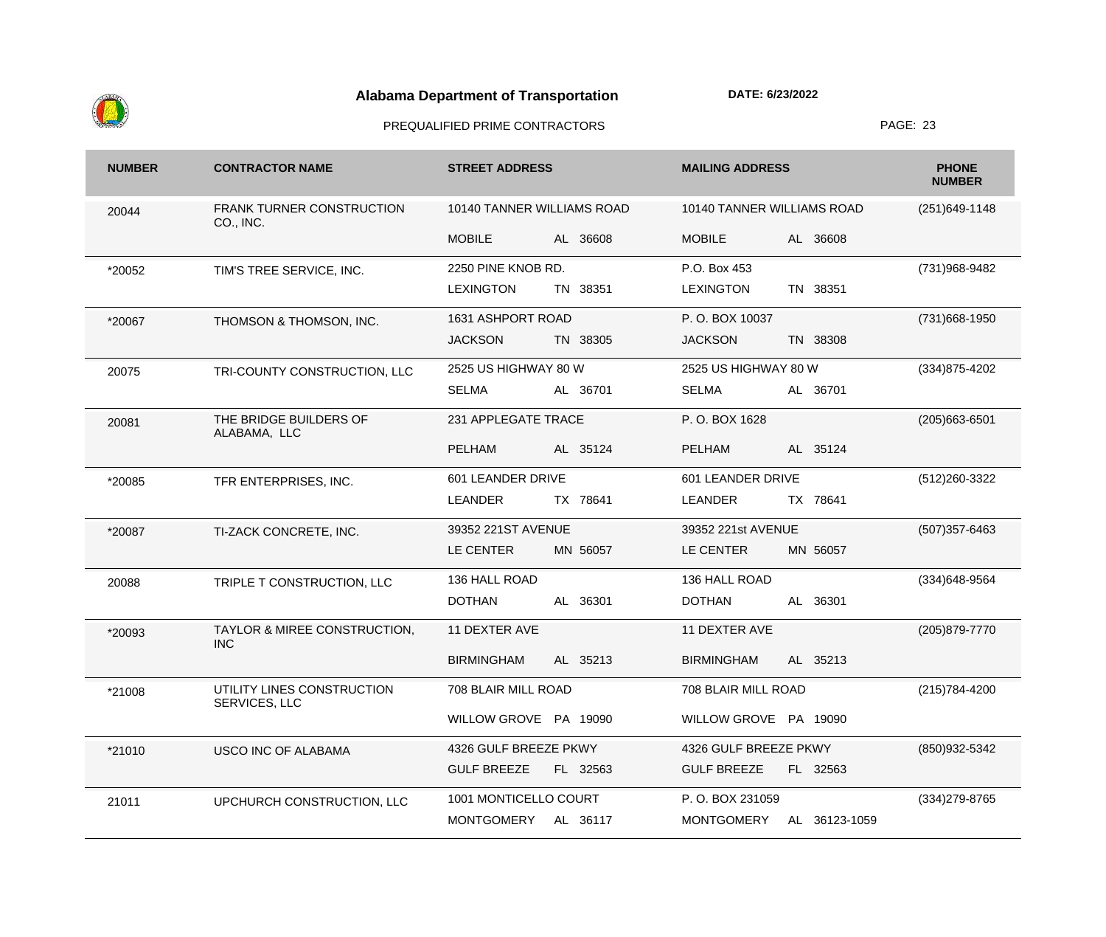

| <b>NUMBER</b> | <b>CONTRACTOR NAME</b>                        | <b>STREET ADDRESS</b>          | <b>MAILING ADDRESS</b>             | <b>PHONE</b><br><b>NUMBER</b> |
|---------------|-----------------------------------------------|--------------------------------|------------------------------------|-------------------------------|
| 20044         | <b>FRANK TURNER CONSTRUCTION</b><br>CO., INC. | 10140 TANNER WILLIAMS ROAD     | 10140 TANNER WILLIAMS ROAD         | $(251)649-1148$               |
|               |                                               | <b>MOBILE</b><br>AL 36608      | <b>MOBILE</b><br>AL 36608          |                               |
| *20052        | TIM'S TREE SERVICE, INC.                      | 2250 PINE KNOB RD.             | P.O. Box 453                       | (731) 968-9482                |
|               |                                               | <b>LEXINGTON</b><br>TN 38351   | <b>LEXINGTON</b><br>TN 38351       |                               |
| *20067        | THOMSON & THOMSON, INC.                       | 1631 ASHPORT ROAD              | P.O. BOX 10037                     | (731) 668-1950                |
|               |                                               | <b>JACKSON</b><br>TN 38305     | <b>JACKSON</b><br>TN 38308         |                               |
| 20075         | TRI-COUNTY CONSTRUCTION, LLC                  | 2525 US HIGHWAY 80 W           | 2525 US HIGHWAY 80 W               | (334) 875-4202                |
|               |                                               | <b>SELMA</b><br>AL 36701       | <b>SELMA</b><br>AL 36701           |                               |
| 20081         | THE BRIDGE BUILDERS OF<br>ALABAMA, LLC        | 231 APPLEGATE TRACE            | P.O. BOX 1628                      | $(205)663 - 6501$             |
|               |                                               | <b>PELHAM</b><br>AL 35124      | <b>PELHAM</b><br>AL 35124          |                               |
| *20085        | TFR ENTERPRISES, INC.                         | 601 LEANDER DRIVE              | 601 LEANDER DRIVE                  | (512) 260-3322                |
|               |                                               | TX 78641<br><b>LEANDER</b>     | TX 78641<br><b>LEANDER</b>         |                               |
| *20087        | TI-ZACK CONCRETE, INC.                        | 39352 221ST AVENUE             | 39352 221st AVENUE                 | $(507)357 - 6463$             |
|               |                                               | LE CENTER<br>MN 56057          | LE CENTER<br>MN 56057              |                               |
| 20088         | TRIPLE T CONSTRUCTION, LLC                    | 136 HALL ROAD                  | 136 HALL ROAD                      | (334) 648-9564                |
|               |                                               | <b>DOTHAN</b><br>AL 36301      | <b>DOTHAN</b><br>AL 36301          |                               |
| *20093        | TAYLOR & MIREE CONSTRUCTION,<br><b>INC</b>    | 11 DEXTER AVE                  | 11 DEXTER AVE                      | (205) 879-7770                |
|               |                                               | <b>BIRMINGHAM</b><br>AL 35213  | <b>BIRMINGHAM</b><br>AL 35213      |                               |
| *21008        | UTILITY LINES CONSTRUCTION<br>SERVICES, LLC   | 708 BLAIR MILL ROAD            | 708 BLAIR MILL ROAD                | (215) 784-4200                |
|               |                                               | WILLOW GROVE PA 19090          | WILLOW GROVE PA 19090              |                               |
| *21010        | USCO INC OF ALABAMA                           | 4326 GULF BREEZE PKWY          | 4326 GULF BREEZE PKWY              | (850) 932-5342                |
|               |                                               | <b>GULF BREEZE</b><br>FL 32563 | <b>GULF BREEZE</b><br>FL 32563     |                               |
| 21011         | UPCHURCH CONSTRUCTION, LLC                    | 1001 MONTICELLO COURT          | P.O. BOX 231059                    | $(334)279-8765$               |
|               |                                               | MONTGOMERY<br>AL 36117         | <b>MONTGOMERY</b><br>AL 36123-1059 |                               |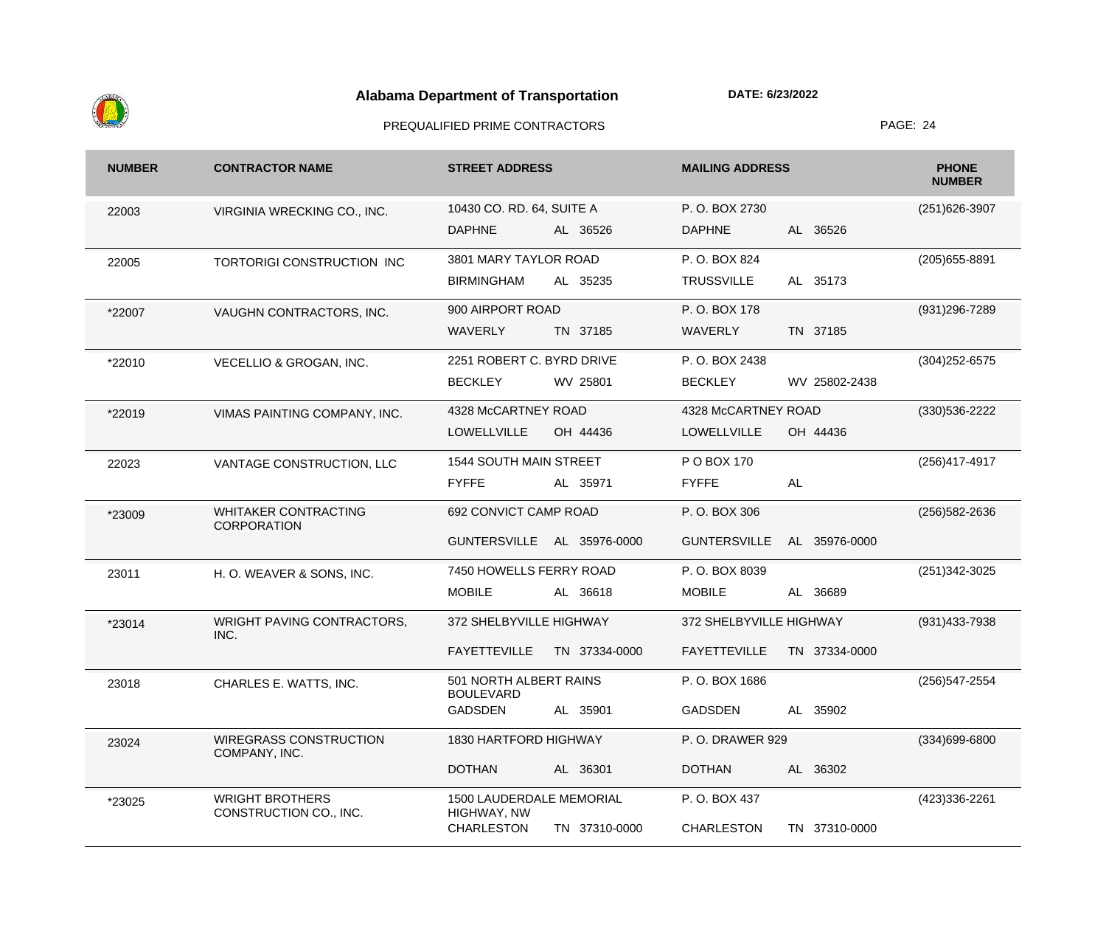

| <b>NUMBER</b> | <b>CONTRACTOR NAME</b>                            | <b>STREET ADDRESS</b>                      | <b>MAILING ADDRESS</b>               | <b>PHONE</b><br><b>NUMBER</b> |
|---------------|---------------------------------------------------|--------------------------------------------|--------------------------------------|-------------------------------|
| 22003         | VIRGINIA WRECKING CO., INC.                       | 10430 CO. RD. 64, SUITE A                  | P.O. BOX 2730                        | (251) 626-3907                |
|               |                                                   | <b>DAPHNE</b><br>AL 36526                  | AL 36526<br><b>DAPHNE</b>            |                               |
| 22005         | TORTORIGI CONSTRUCTION INC                        | 3801 MARY TAYLOR ROAD                      | P.O. BOX 824                         | $(205)655 - 8891$             |
|               |                                                   | <b>BIRMINGHAM</b><br>AL 35235              | AL 35173<br><b>TRUSSVILLE</b>        |                               |
| *22007        | VAUGHN CONTRACTORS, INC.                          | 900 AIRPORT ROAD                           | P.O. BOX 178                         | (931) 296-7289                |
|               |                                                   | <b>WAVERLY</b><br>TN 37185                 | TN 37185<br><b>WAVERLY</b>           |                               |
| *22010        | VECELLIO & GROGAN, INC.                           | 2251 ROBERT C. BYRD DRIVE                  | P.O. BOX 2438                        | $(304)252 - 6575$             |
|               |                                                   | <b>BECKLEY</b><br>WV 25801                 | WV 25802-2438<br><b>BECKLEY</b>      |                               |
| *22019        | VIMAS PAINTING COMPANY, INC.                      | 4328 McCARTNEY ROAD                        | 4328 McCARTNEY ROAD                  | (330) 536-2222                |
|               |                                                   | <b>LOWELLVILLE</b><br>OH 44436             | <b>LOWELLVILLE</b><br>OH 44436       |                               |
| 22023         | VANTAGE CONSTRUCTION, LLC                         | 1544 SOUTH MAIN STREET                     | P O BOX 170                          | (256)417-4917                 |
|               |                                                   | <b>FYFFE</b><br>AL 35971                   | AL<br><b>FYFFE</b>                   |                               |
| *23009        | <b>WHITAKER CONTRACTING</b><br><b>CORPORATION</b> | 692 CONVICT CAMP ROAD                      | P.O. BOX 306                         | (256) 582-2636                |
|               |                                                   | GUNTERSVILLE AL 35976-0000                 | <b>GUNTERSVILLE</b><br>AL 35976-0000 |                               |
| 23011         | H. O. WEAVER & SONS, INC.                         | 7450 HOWELLS FERRY ROAD                    | P.O. BOX 8039                        | (251) 342-3025                |
|               |                                                   | <b>MOBILE</b><br>AL 36618                  | <b>MOBILE</b><br>AL 36689            |                               |
| *23014        | WRIGHT PAVING CONTRACTORS,<br>INC.                | 372 SHELBYVILLE HIGHWAY                    | 372 SHELBYVILLE HIGHWAY              | (931) 433-7938                |
|               |                                                   | <b>FAYETTEVILLE</b><br>TN 37334-0000       | <b>FAYETTEVILLE</b><br>TN 37334-0000 |                               |
| 23018         | CHARLES E. WATTS, INC.                            | 501 NORTH ALBERT RAINS<br><b>BOULEVARD</b> | P.O. BOX 1686                        | (256) 547-2554                |
|               |                                                   | <b>GADSDEN</b><br>AL 35901                 | <b>GADSDEN</b><br>AL 35902           |                               |
| 23024         | <b>WIREGRASS CONSTRUCTION</b><br>COMPANY, INC.    | 1830 HARTFORD HIGHWAY                      | P.O. DRAWER 929                      | (334)699-6800                 |
|               |                                                   | <b>DOTHAN</b><br>AL 36301                  | <b>DOTHAN</b><br>AL 36302            |                               |
| *23025        | <b>WRIGHT BROTHERS</b><br>CONSTRUCTION CO., INC.  | 1500 LAUDERDALE MEMORIAL<br>HIGHWAY, NW    | P.O. BOX 437                         | (423)336-2261                 |
|               |                                                   | <b>CHARLESTON</b><br>TN 37310-0000         | <b>CHARLESTON</b><br>TN 37310-0000   |                               |